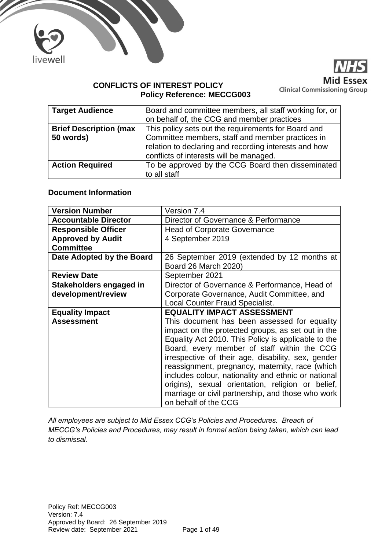



## **CONFLICTS OF INTEREST POLICY Policy Reference: MECCG003**

| <b>Target Audience</b>        | Board and committee members, all staff working for, or |
|-------------------------------|--------------------------------------------------------|
|                               | on behalf of, the CCG and member practices             |
| <b>Brief Description (max</b> | This policy sets out the requirements for Board and    |
| 50 words)                     | Committee members, staff and member practices in       |
|                               | relation to declaring and recording interests and how  |
|                               | conflicts of interests will be managed.                |
| <b>Action Required</b>        | To be approved by the CCG Board then disseminated      |
|                               | to all staff                                           |

## **Document Information**

| <b>Version Number</b>       | Version 7.4                                                               |
|-----------------------------|---------------------------------------------------------------------------|
| <b>Accountable Director</b> | Director of Governance & Performance                                      |
| <b>Responsible Officer</b>  | <b>Head of Corporate Governance</b>                                       |
| <b>Approved by Audit</b>    | 4 September 2019                                                          |
| <b>Committee</b>            |                                                                           |
| Date Adopted by the Board   | 26 September 2019 (extended by 12 months at                               |
|                             | Board 26 March 2020)                                                      |
| <b>Review Date</b>          | September 2021                                                            |
| Stakeholders engaged in     | Director of Governance & Performance, Head of                             |
| development/review          | Corporate Governance, Audit Committee, and                                |
|                             | <b>Local Counter Fraud Specialist.</b>                                    |
|                             |                                                                           |
| <b>Equality Impact</b>      | <b>EQUALITY IMPACT ASSESSMENT</b>                                         |
| <b>Assessment</b>           | This document has been assessed for equality                              |
|                             | impact on the protected groups, as set out in the                         |
|                             | Equality Act 2010. This Policy is applicable to the                       |
|                             | Board, every member of staff within the CCG                               |
|                             | irrespective of their age, disability, sex, gender                        |
|                             | reassignment, pregnancy, maternity, race (which                           |
|                             | includes colour, nationality and ethnic or national                       |
|                             | origins), sexual orientation, religion or belief,                         |
|                             | marriage or civil partnership, and those who work<br>on behalf of the CCG |

*All employees are subject to Mid Essex CCG's Policies and Procedures. Breach of MECCG's Policies and Procedures, may result in formal action being taken, which can lead to dismissal.*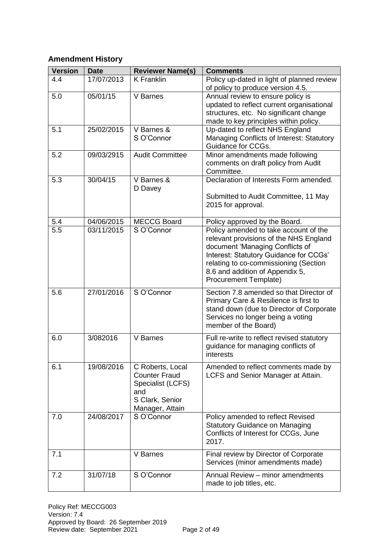# **Amendment History**

| <b>Version</b> | <b>Date</b> | <b>Reviewer Name(s)</b>                                                                                    | <b>Comments</b>                                                                                                                                                                                                                                                          |
|----------------|-------------|------------------------------------------------------------------------------------------------------------|--------------------------------------------------------------------------------------------------------------------------------------------------------------------------------------------------------------------------------------------------------------------------|
| 4.4            | 17/07/2013  | <b>K</b> Franklin                                                                                          | Policy up-dated in light of planned review<br>of policy to produce version 4.5.                                                                                                                                                                                          |
| 5.0            | 05/01/15    | V Barnes                                                                                                   | Annual review to ensure policy is<br>updated to reflect current organisational<br>structures, etc. No significant change<br>made to key principles within policy.                                                                                                        |
| 5.1            | 25/02/2015  | V Barnes &<br>S O'Connor                                                                                   | Up-dated to reflect NHS England<br>Managing Conflicts of Interest: Statutory<br>Guidance for CCGs.                                                                                                                                                                       |
| 5.2            | 09/03/2915  | <b>Audit Committee</b>                                                                                     | Minor amendments made following<br>comments on draft policy from Audit<br>Committee.                                                                                                                                                                                     |
| 5.3            | 30/04/15    | V Barnes &<br>D Davey                                                                                      | Declaration of Interests Form amended.<br>Submitted to Audit Committee, 11 May<br>2015 for approval.                                                                                                                                                                     |
| 5.4            | 04/06/2015  | <b>MECCG Board</b>                                                                                         | Policy approved by the Board.                                                                                                                                                                                                                                            |
| 5.5            | 03/11/2015  | S O'Connor                                                                                                 | Policy amended to take account of the<br>relevant provisions of the NHS England<br>document 'Managing Conflicts of<br>Interest: Statutory Guidance for CCGs'<br>relating to co-commissioning (Section<br>8.6 and addition of Appendix 5,<br><b>Procurement Template)</b> |
| 5.6            | 27/01/2016  | S O'Connor                                                                                                 | Section 7.8 amended so that Director of<br>Primary Care & Resilience is first to<br>stand down (due to Director of Corporate<br>Services no longer being a voting<br>member of the Board)                                                                                |
| 6.0            | 3/082016    | V Barnes                                                                                                   | Full re-write to reflect revised statutory<br>guidance for managing conflicts of<br>interests                                                                                                                                                                            |
| 6.1            | 19/08/2016  | C Roberts, Local<br><b>Counter Fraud</b><br>Specialist (LCFS)<br>and<br>S Clark, Senior<br>Manager, Attain | Amended to reflect comments made by<br>LCFS and Senior Manager at Attain.                                                                                                                                                                                                |
| 7.0            | 24/08/2017  | S O'Connor                                                                                                 | Policy amended to reflect Revised<br><b>Statutory Guidance on Managing</b><br>Conflicts of Interest for CCGs, June<br>2017.                                                                                                                                              |
| 7.1            |             | V Barnes                                                                                                   | Final review by Director of Corporate<br>Services (minor amendments made)                                                                                                                                                                                                |
| 7.2            | 31/07/18    | S O'Connor                                                                                                 | Annual Review - minor amendments<br>made to job titles, etc.                                                                                                                                                                                                             |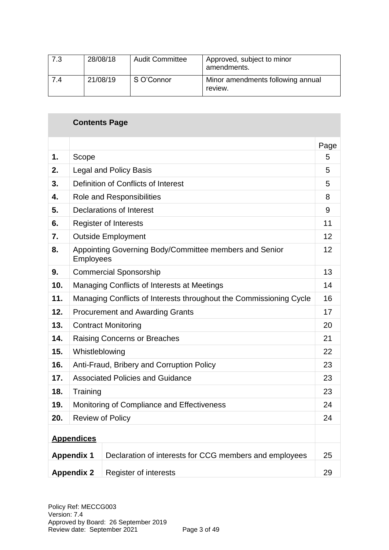| 7.3 | 28/08/18 | <b>Audit Committee</b> | Approved, subject to minor<br>amendments.    |
|-----|----------|------------------------|----------------------------------------------|
| 7.4 | 21/08/19 | S O'Connor             | Minor amendments following annual<br>review. |

|     | <b>Contents Page</b>                                                |                                                        |      |  |  |
|-----|---------------------------------------------------------------------|--------------------------------------------------------|------|--|--|
|     |                                                                     |                                                        | Page |  |  |
| 1.  | Scope                                                               |                                                        | 5    |  |  |
| 2.  |                                                                     | <b>Legal and Policy Basis</b>                          | 5    |  |  |
| 3.  |                                                                     | Definition of Conflicts of Interest                    | 5    |  |  |
| 4.  |                                                                     | <b>Role and Responsibilities</b>                       | 8    |  |  |
| 5.  |                                                                     | Declarations of Interest                               | 9    |  |  |
| 6.  |                                                                     | <b>Register of Interests</b>                           | 11   |  |  |
| 7.  |                                                                     | <b>Outside Employment</b>                              | 12   |  |  |
| 8.  | Appointing Governing Body/Committee members and Senior<br>Employees |                                                        |      |  |  |
| 9.  | <b>Commercial Sponsorship</b>                                       |                                                        |      |  |  |
| 10. | Managing Conflicts of Interests at Meetings                         |                                                        |      |  |  |
| 11. | Managing Conflicts of Interests throughout the Commissioning Cycle  |                                                        |      |  |  |
| 12. | <b>Procurement and Awarding Grants</b>                              |                                                        |      |  |  |
| 13. | <b>Contract Monitoring</b>                                          |                                                        |      |  |  |
| 14. |                                                                     | <b>Raising Concerns or Breaches</b>                    | 21   |  |  |
| 15. | Whistleblowing                                                      |                                                        | 22   |  |  |
| 16. |                                                                     | Anti-Fraud, Bribery and Corruption Policy              | 23   |  |  |
| 17. |                                                                     | <b>Associated Policies and Guidance</b>                | 23   |  |  |
| 18. | Training                                                            |                                                        | 23   |  |  |
| 19. |                                                                     | Monitoring of Compliance and Effectiveness             | 24   |  |  |
| 20. |                                                                     | <b>Review of Policy</b>                                | 24   |  |  |
|     | <b>Appendices</b>                                                   |                                                        |      |  |  |
|     | <b>Appendix 1</b>                                                   | Declaration of interests for CCG members and employees | 25   |  |  |
|     | <b>Appendix 2</b>                                                   | Register of interests                                  | 29   |  |  |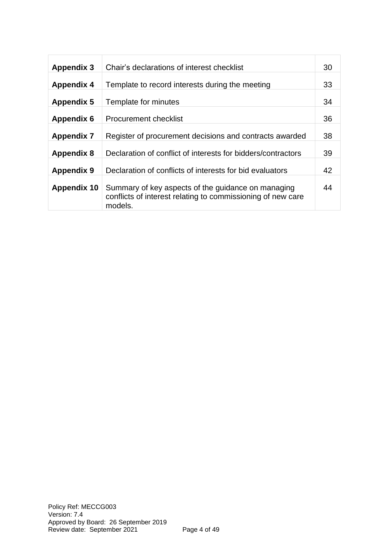| <b>Appendix 3</b>  | Chair's declarations of interest checklist                                                                                   | 30 |
|--------------------|------------------------------------------------------------------------------------------------------------------------------|----|
| <b>Appendix 4</b>  | Template to record interests during the meeting                                                                              | 33 |
| <b>Appendix 5</b>  | Template for minutes                                                                                                         | 34 |
| <b>Appendix 6</b>  | Procurement checklist                                                                                                        | 36 |
| <b>Appendix 7</b>  | Register of procurement decisions and contracts awarded                                                                      | 38 |
| <b>Appendix 8</b>  | Declaration of conflict of interests for bidders/contractors                                                                 | 39 |
| <b>Appendix 9</b>  | Declaration of conflicts of interests for bid evaluators                                                                     | 42 |
| <b>Appendix 10</b> | Summary of key aspects of the guidance on managing<br>conflicts of interest relating to commissioning of new care<br>models. | 44 |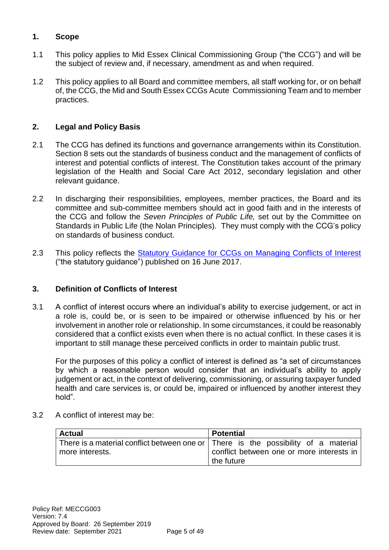# **1. Scope**

- 1.1 This policy applies to Mid Essex Clinical Commissioning Group ("the CCG") and will be the subject of review and, if necessary, amendment as and when required.
- 1.2 This policy applies to all Board and committee members, all staff working for, or on behalf of, the CCG, the Mid and South Essex CCGs Acute Commissioning Team and to member practices.

# **2. Legal and Policy Basis**

- 2.1 The CCG has defined its functions and governance arrangements within its Constitution. Section 8 sets out the standards of business conduct and the management of conflicts of interest and potential conflicts of interest. The Constitution takes account of the primary legislation of the Health and Social Care Act 2012, secondary legislation and other relevant guidance.
- 2.2 In discharging their responsibilities, employees, member practices, the Board and its committee and sub-committee members should act in good faith and in the interests of the CCG and follow the *Seven Principles of Public Life,* set out by the Committee on Standards in Public Life (the Nolan Principles). They must comply with the CCG's policy on standards of business conduct.
- 2.3 This policy reflects the **Statutory Guidance for CCGs on Managing Conflicts of Interest** ("the statutory guidance") published on 16 June 2017.

# **3. Definition of Conflicts of Interest**

3.1 A conflict of interest occurs where an individual's ability to exercise judgement, or act in a role is, could be, or is seen to be impaired or otherwise influenced by his or her involvement in another role or relationship. In some circumstances, it could be reasonably considered that a conflict exists even when there is no actual conflict. In these cases it is important to still manage these perceived conflicts in order to maintain public trust.

For the purposes of this policy a conflict of interest is defined as "a set of circumstances by which a reasonable person would consider that an individual's ability to apply judgement or act, in the context of delivering, commissioning, or assuring taxpayer funded health and care services is, or could be, impaired or influenced by another interest they hold".

3.2 A conflict of interest may be:

| <b>Actual</b>   | <b>Potential</b>                                                                   |  |  |  |  |
|-----------------|------------------------------------------------------------------------------------|--|--|--|--|
|                 | There is a material conflict between one or There is the possibility of a material |  |  |  |  |
| more interests. | conflict between one or more interests in                                          |  |  |  |  |
|                 | the future                                                                         |  |  |  |  |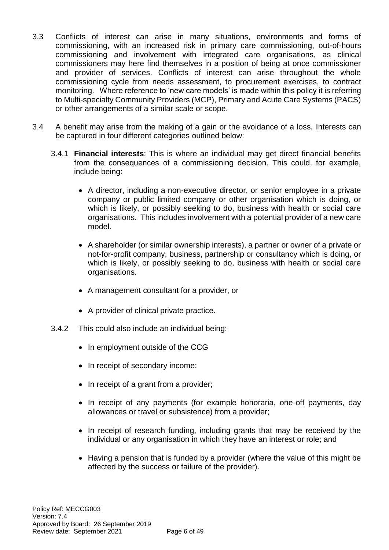- 3.3 Conflicts of interest can arise in many situations, environments and forms of commissioning, with an increased risk in primary care commissioning, out-of-hours commissioning and involvement with integrated care organisations, as clinical commissioners may here find themselves in a position of being at once commissioner and provider of services. Conflicts of interest can arise throughout the whole commissioning cycle from needs assessment, to procurement exercises, to contract monitoring. Where reference to 'new care models' is made within this policy it is referring to Multi-specialty Community Providers (MCP), Primary and Acute Care Systems (PACS) or other arrangements of a similar scale or scope.
- 3.4 A benefit may arise from the making of a gain or the avoidance of a loss. Interests can be captured in four different categories outlined below:
	- 3.4.1 **Financial interests**: This is where an individual may get direct financial benefits from the consequences of a commissioning decision. This could, for example, include being:
		- A director, including a non-executive director, or senior employee in a private company or public limited company or other organisation which is doing, or which is likely, or possibly seeking to do, business with health or social care organisations. This includes involvement with a potential provider of a new care model.
		- A shareholder (or similar ownership interests), a partner or owner of a private or not-for-profit company, business, partnership or consultancy which is doing, or which is likely, or possibly seeking to do, business with health or social care organisations.
		- A management consultant for a provider, or
		- A provider of clinical private practice.
	- 3.4.2 This could also include an individual being:
		- In employment outside of the CCG
		- In receipt of secondary income;
		- In receipt of a grant from a provider;
		- In receipt of any payments (for example honoraria, one-off payments, day allowances or travel or subsistence) from a provider;
		- In receipt of research funding, including grants that may be received by the individual or any organisation in which they have an interest or role; and
		- Having a pension that is funded by a provider (where the value of this might be affected by the success or failure of the provider).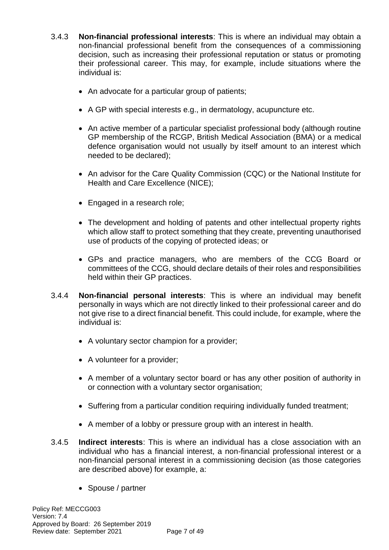- 3.4.3 **Non-financial professional interests**: This is where an individual may obtain a non-financial professional benefit from the consequences of a commissioning decision, such as increasing their professional reputation or status or promoting their professional career. This may, for example, include situations where the individual is:
	- An advocate for a particular group of patients;
	- A GP with special interests e.g., in dermatology, acupuncture etc.
	- An active member of a particular specialist professional body (although routine GP membership of the RCGP, British Medical Association (BMA) or a medical defence organisation would not usually by itself amount to an interest which needed to be declared);
	- An advisor for the Care Quality Commission (CQC) or the National Institute for Health and Care Excellence (NICE);
	- Engaged in a research role;
	- The development and holding of patents and other intellectual property rights which allow staff to protect something that they create, preventing unauthorised use of products of the copying of protected ideas; or
	- GPs and practice managers, who are members of the CCG Board or committees of the CCG, should declare details of their roles and responsibilities held within their GP practices.
- 3.4.4 **Non-financial personal interests**: This is where an individual may benefit personally in ways which are not directly linked to their professional career and do not give rise to a direct financial benefit. This could include, for example, where the individual is:
	- A voluntary sector champion for a provider;
	- A volunteer for a provider;
	- A member of a voluntary sector board or has any other position of authority in or connection with a voluntary sector organisation;
	- Suffering from a particular condition requiring individually funded treatment;
	- A member of a lobby or pressure group with an interest in health.
- 3.4.5 **Indirect interests**: This is where an individual has a close association with an individual who has a financial interest, a non-financial professional interest or a non-financial personal interest in a commissioning decision (as those categories are described above) for example, a:
	- Spouse / partner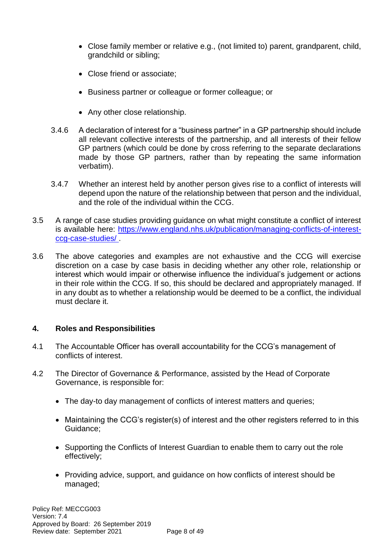- Close family member or relative e.g., (not limited to) parent, grandparent, child, grandchild or sibling;
- Close friend or associate;
- Business partner or colleague or former colleague; or
- Any other close relationship.
- 3.4.6 A declaration of interest for a "business partner" in a GP partnership should include all relevant collective interests of the partnership, and all interests of their fellow GP partners (which could be done by cross referring to the separate declarations made by those GP partners, rather than by repeating the same information verbatim).
- 3.4.7 Whether an interest held by another person gives rise to a conflict of interests will depend upon the nature of the relationship between that person and the individual, and the role of the individual within the CCG.
- 3.5 A range of case studies providing guidance on what might constitute a conflict of interest is available here: [https://www.england.nhs.uk/publication/managing-conflicts-of-interest](https://www.england.nhs.uk/publication/managing-conflicts-of-interest-ccg-case-studies/)[ccg-case-studies/ .](https://www.england.nhs.uk/publication/managing-conflicts-of-interest-ccg-case-studies/)
- 3.6 The above categories and examples are not exhaustive and the CCG will exercise discretion on a case by case basis in deciding whether any other role, relationship or interest which would impair or otherwise influence the individual's judgement or actions in their role within the CCG. If so, this should be declared and appropriately managed. If in any doubt as to whether a relationship would be deemed to be a conflict, the individual must declare it.

## **4. Roles and Responsibilities**

- 4.1 The Accountable Officer has overall accountability for the CCG's management of conflicts of interest.
- 4.2 The Director of Governance & Performance, assisted by the Head of Corporate Governance, is responsible for:
	- The day-to day management of conflicts of interest matters and queries;
	- Maintaining the CCG's register(s) of interest and the other registers referred to in this Guidance;
	- Supporting the Conflicts of Interest Guardian to enable them to carry out the role effectively;
	- Providing advice, support, and guidance on how conflicts of interest should be managed;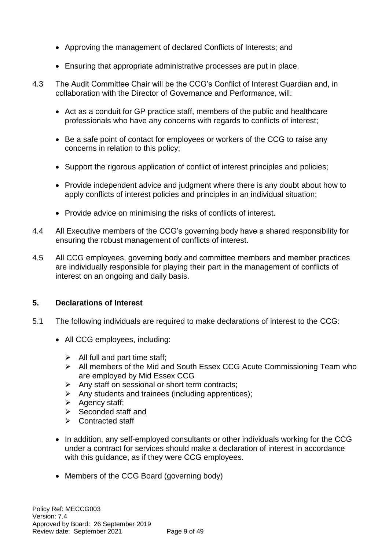- Approving the management of declared Conflicts of Interests; and
- Ensuring that appropriate administrative processes are put in place.
- 4.3 The Audit Committee Chair will be the CCG's Conflict of Interest Guardian and, in collaboration with the Director of Governance and Performance, will:
	- Act as a conduit for GP practice staff, members of the public and healthcare professionals who have any concerns with regards to conflicts of interest;
	- Be a safe point of contact for employees or workers of the CCG to raise any concerns in relation to this policy;
	- Support the rigorous application of conflict of interest principles and policies;
	- Provide independent advice and judgment where there is any doubt about how to apply conflicts of interest policies and principles in an individual situation;
	- Provide advice on minimising the risks of conflicts of interest.
- 4.4 All Executive members of the CCG's governing body have a shared responsibility for ensuring the robust management of conflicts of interest.
- 4.5 All CCG employees, governing body and committee members and member practices are individually responsible for playing their part in the management of conflicts of interest on an ongoing and daily basis.

# **5. Declarations of Interest**

- 5.1 The following individuals are required to make declarations of interest to the CCG:
	- All CCG employees, including:
		- $\triangleright$  All full and part time staff;
		- ➢ All members of the Mid and South Essex CCG Acute Commissioning Team who are employed by Mid Essex CCG
		- ➢ Any staff on sessional or short term contracts;
		- ➢ Any students and trainees (including apprentices);
		- ➢ Agency staff;
		- $\triangleright$  Seconded staff and
		- ➢ Contracted staff
	- In addition, any self-employed consultants or other individuals working for the CCG under a contract for services should make a declaration of interest in accordance with this guidance, as if they were CCG employees.
	- Members of the CCG Board (governing body)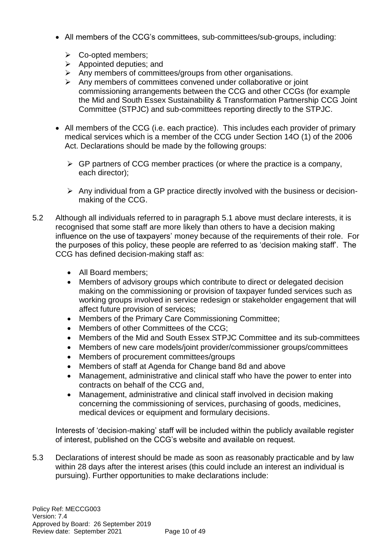- All members of the CCG's committees, sub-committees/sub-groups, including:
	- ➢ Co-opted members;
	- $\triangleright$  Appointed deputies; and
	- ➢ Any members of committees/groups from other organisations.
	- ➢ Any members of committees convened under collaborative or joint commissioning arrangements between the CCG and other CCGs (for example the Mid and South Essex Sustainability & Transformation Partnership CCG Joint Committee (STPJC) and sub-committees reporting directly to the STPJC.
- All members of the CCG (i.e. each practice). This includes each provider of primary medical services which is a member of the CCG under Section 14O (1) of the 2006 Act. Declarations should be made by the following groups:
	- $\triangleright$  GP partners of CCG member practices (or where the practice is a company, each director);
	- ➢ Any individual from a GP practice directly involved with the business or decisionmaking of the CCG.
- 5.2 Although all individuals referred to in paragraph 5.1 above must declare interests, it is recognised that some staff are more likely than others to have a decision making influence on the use of taxpayers' money because of the requirements of their role. For the purposes of this policy, these people are referred to as 'decision making staff'. The CCG has defined decision-making staff as:
	- All Board members;
	- Members of advisory groups which contribute to direct or delegated decision making on the commissioning or provision of taxpayer funded services such as working groups involved in service redesign or stakeholder engagement that will affect future provision of services;
	- Members of the Primary Care Commissioning Committee;
	- Members of other Committees of the CCG;
	- Members of the Mid and South Essex STPJC Committee and its sub-committees
	- Members of new care models/joint provider/commissioner groups/committees
	- Members of procurement committees/groups
	- Members of staff at Agenda for Change band 8d and above
	- Management, administrative and clinical staff who have the power to enter into contracts on behalf of the CCG and,
	- Management, administrative and clinical staff involved in decision making concerning the commissioning of services, purchasing of goods, medicines, medical devices or equipment and formulary decisions.

Interests of 'decision-making' staff will be included within the publicly available register of interest, published on the CCG's website and available on request.

5.3 Declarations of interest should be made as soon as reasonably practicable and by law within 28 days after the interest arises (this could include an interest an individual is pursuing). Further opportunities to make declarations include: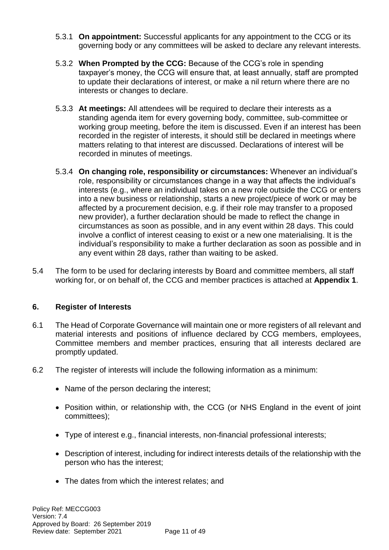- 5.3.1 **On appointment:** Successful applicants for any appointment to the CCG or its governing body or any committees will be asked to declare any relevant interests.
- 5.3.2 **When Prompted by the CCG:** Because of the CCG's role in spending taxpayer's money, the CCG will ensure that, at least annually, staff are prompted to update their declarations of interest, or make a nil return where there are no interests or changes to declare.
- 5.3.3 **At meetings:** All attendees will be required to declare their interests as a standing agenda item for every governing body, committee, sub-committee or working group meeting, before the item is discussed. Even if an interest has been recorded in the register of interests, it should still be declared in meetings where matters relating to that interest are discussed. Declarations of interest will be recorded in minutes of meetings.
- 5.3.4 **On changing role, responsibility or circumstances:** Whenever an individual's role, responsibility or circumstances change in a way that affects the individual's interests (e.g., where an individual takes on a new role outside the CCG or enters into a new business or relationship, starts a new project/piece of work or may be affected by a procurement decision, e.g. if their role may transfer to a proposed new provider), a further declaration should be made to reflect the change in circumstances as soon as possible, and in any event within 28 days. This could involve a conflict of interest ceasing to exist or a new one materialising. It is the individual's responsibility to make a further declaration as soon as possible and in any event within 28 days, rather than waiting to be asked.
- 5.4 The form to be used for declaring interests by Board and committee members, all staff working for, or on behalf of, the CCG and member practices is attached at **Appendix 1**.

# **6. Register of Interests**

- 6.1 The Head of Corporate Governance will maintain one or more registers of all relevant and material interests and positions of influence declared by CCG members, employees, Committee members and member practices, ensuring that all interests declared are promptly updated.
- 6.2 The register of interests will include the following information as a minimum:
	- Name of the person declaring the interest;
	- Position within, or relationship with, the CCG (or NHS England in the event of joint committees);
	- Type of interest e.g., financial interests, non-financial professional interests;
	- Description of interest, including for indirect interests details of the relationship with the person who has the interest;
	- The dates from which the interest relates; and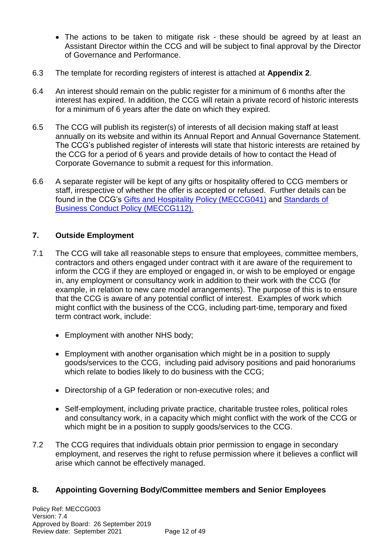- The actions to be taken to mitigate risk these should be agreed by at least an Assistant Director within the CCG and will be subject to final approval by the Director of Governance and Performance.
- 6.3 The template for recording registers of interest is attached at **Appendix 2**.
- 6.4 An interest should remain on the public register for a minimum of 6 months after the interest has expired. In addition, the CCG will retain a private record of historic interests for a minimum of 6 years after the date on which they expired.
- 6.5 The CCG will publish its register(s) of interests of all decision making staff at least annually on its website and within its Annual Report and Annual Governance Statement. The CCG's published register of interests will state that historic interests are retained by the CCG for a period of 6 years and provide details of how to contact the Head of Corporate Governance to submit a request for this information.
- 6.6 A separate register will be kept of any gifts or hospitality offered to CCG members or staff, irrespective of whether the offer is accepted or refused. Further details can be found in the CCG's [Gifts and Hospitality Policy \(MECCG041\)](http://midessexccg.nhs.uk/about-us/the-library/policy-library/corporate-policies/1986-meccg041-gifts-hospitality-policy) and [Standards of](https://midessexccg.nhs.uk/about-us/the-library/policy-library/corporate-policies/1985-meccg112-standards-of-business-conduct-policy)  [Business Conduct Policy](https://midessexccg.nhs.uk/about-us/the-library/policy-library/corporate-policies/1985-meccg112-standards-of-business-conduct-policy) (MECCG112).

## **7. Outside Employment**

- 7.1 The CCG will take all reasonable steps to ensure that employees, committee members, contractors and others engaged under contract with it are aware of the requirement to inform the CCG if they are employed or engaged in, or wish to be employed or engage in, any employment or consultancy work in addition to their work with the CCG (for example, in relation to new care model arrangements). The purpose of this is to ensure that the CCG is aware of any potential conflict of interest. Examples of work which might conflict with the business of the CCG, including part-time, temporary and fixed term contract work, include:
	- Employment with another NHS body;
	- Employment with another organisation which might be in a position to supply goods/services to the CCG, including paid advisory positions and paid honorariums which relate to bodies likely to do business with the CCG;
	- Directorship of a GP federation or non-executive roles; and
	- Self-employment, including private practice, charitable trustee roles, political roles and consultancy work, in a capacity which might conflict with the work of the CCG or which might be in a position to supply goods/services to the CCG.
- 7.2 The CCG requires that individuals obtain prior permission to engage in secondary employment, and reserves the right to refuse permission where it believes a conflict will arise which cannot be effectively managed.

# **8. Appointing Governing Body/Committee members and Senior Employees**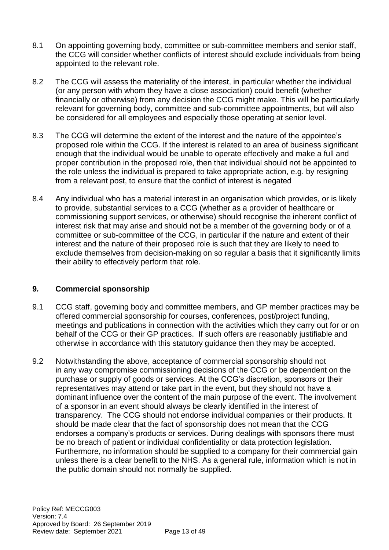- 8.1 On appointing governing body, committee or sub-committee members and senior staff, the CCG will consider whether conflicts of interest should exclude individuals from being appointed to the relevant role.
- 8.2 The CCG will assess the materiality of the interest, in particular whether the individual (or any person with whom they have a close association) could benefit (whether financially or otherwise) from any decision the CCG might make. This will be particularly relevant for governing body, committee and sub-committee appointments, but will also be considered for all employees and especially those operating at senior level.
- 8.3 The CCG will determine the extent of the interest and the nature of the appointee's proposed role within the CCG. If the interest is related to an area of business significant enough that the individual would be unable to operate effectively and make a full and proper contribution in the proposed role, then that individual should not be appointed to the role unless the individual is prepared to take appropriate action, e.g. by resigning from a relevant post, to ensure that the conflict of interest is negated
- 8.4 Any individual who has a material interest in an organisation which provides, or is likely to provide, substantial services to a CCG (whether as a provider of healthcare or commissioning support services, or otherwise) should recognise the inherent conflict of interest risk that may arise and should not be a member of the governing body or of a committee or sub-committee of the CCG, in particular if the nature and extent of their interest and the nature of their proposed role is such that they are likely to need to exclude themselves from decision-making on so regular a basis that it significantly limits their ability to effectively perform that role.

# **9***.* **Commercial sponsorship**

- 9.1 CCG staff, governing body and committee members, and GP member practices may be offered commercial sponsorship for courses, conferences, post/project funding, meetings and publications in connection with the activities which they carry out for or on behalf of the CCG or their GP practices. If such offers are reasonably justifiable and otherwise in accordance with this statutory guidance then they may be accepted.
- 9.2 Notwithstanding the above, acceptance of commercial sponsorship should not in any way compromise commissioning decisions of the CCG or be dependent on the purchase or supply of goods or services. At the CCG's discretion, sponsors or their representatives may attend or take part in the event, but they should not have a dominant influence over the content of the main purpose of the event. The involvement of a sponsor in an event should always be clearly identified in the interest of transparency. The CCG should not endorse individual companies or their products. It should be made clear that the fact of sponsorship does not mean that the CCG endorses a company's products or services. During dealings with sponsors there must be no breach of patient or individual confidentiality or data protection legislation. Furthermore, no information should be supplied to a company for their commercial gain unless there is a clear benefit to the NHS. As a general rule, information which is not in the public domain should not normally be supplied.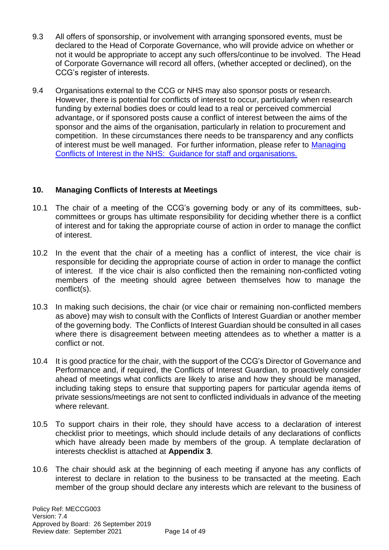- 9.3 All offers of sponsorship, or involvement with arranging sponsored events, must be declared to the Head of Corporate Governance, who will provide advice on whether or not it would be appropriate to accept any such offers/continue to be involved. The Head of Corporate Governance will record all offers, (whether accepted or declined), on the CCG's register of interests.
- 9.4 Organisations external to the CCG or NHS may also sponsor posts or research. However, there is potential for conflicts of interest to occur, particularly when research funding by external bodies does or could lead to a real or perceived commercial advantage, or if sponsored posts cause a conflict of interest between the aims of the sponsor and the aims of the organisation, particularly in relation to procurement and competition. In these circumstances there needs to be transparency and any conflicts of interest must be well managed. For further information, please refer to Managing [Conflicts of Interest in the NHS: Guidance for staff and organisations.](https://www.england.nhs.uk/wp-content/uploads/2017/02/guidance-managing-conflicts-of-interest-nhs.pdf)

# **10. Managing Conflicts of Interests at Meetings**

- 10.1 The chair of a meeting of the CCG's governing body or any of its committees, subcommittees or groups has ultimate responsibility for deciding whether there is a conflict of interest and for taking the appropriate course of action in order to manage the conflict of interest.
- 10.2 In the event that the chair of a meeting has a conflict of interest, the vice chair is responsible for deciding the appropriate course of action in order to manage the conflict of interest. If the vice chair is also conflicted then the remaining non-conflicted voting members of the meeting should agree between themselves how to manage the conflict(s).
- 10.3 In making such decisions, the chair (or vice chair or remaining non-conflicted members as above) may wish to consult with the Conflicts of Interest Guardian or another member of the governing body. The Conflicts of Interest Guardian should be consulted in all cases where there is disagreement between meeting attendees as to whether a matter is a conflict or not.
- 10.4 It is good practice for the chair, with the support of the CCG's Director of Governance and Performance and, if required, the Conflicts of Interest Guardian, to proactively consider ahead of meetings what conflicts are likely to arise and how they should be managed, including taking steps to ensure that supporting papers for particular agenda items of private sessions/meetings are not sent to conflicted individuals in advance of the meeting where relevant.
- 10.5 To support chairs in their role, they should have access to a declaration of interest checklist prior to meetings, which should include details of any declarations of conflicts which have already been made by members of the group. A template declaration of interests checklist is attached at **Appendix 3**.
- 10.6 The chair should ask at the beginning of each meeting if anyone has any conflicts of interest to declare in relation to the business to be transacted at the meeting. Each member of the group should declare any interests which are relevant to the business of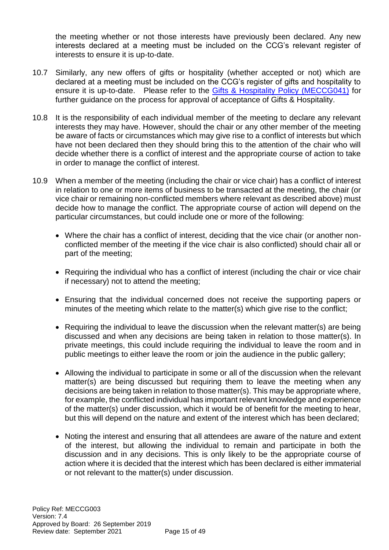the meeting whether or not those interests have previously been declared. Any new interests declared at a meeting must be included on the CCG's relevant register of interests to ensure it is up-to-date.

- 10.7 Similarly, any new offers of gifts or hospitality (whether accepted or not) which are declared at a meeting must be included on the CCG's register of gifts and hospitality to ensure it is up-to-date. Please refer to the [Gifts & Hospitality Policy \(MECCG041\)](https://midessexccg.nhs.uk/about-us/the-library/policy-library/corporate-policies/1986-meccg041-gifts-hospitality-policy) for further guidance on the process for approval of acceptance of Gifts & Hospitality.
- 10.8 It is the responsibility of each individual member of the meeting to declare any relevant interests they may have. However, should the chair or any other member of the meeting be aware of facts or circumstances which may give rise to a conflict of interests but which have not been declared then they should bring this to the attention of the chair who will decide whether there is a conflict of interest and the appropriate course of action to take in order to manage the conflict of interest.
- 10.9 When a member of the meeting (including the chair or vice chair) has a conflict of interest in relation to one or more items of business to be transacted at the meeting, the chair (or vice chair or remaining non-conflicted members where relevant as described above) must decide how to manage the conflict. The appropriate course of action will depend on the particular circumstances, but could include one or more of the following:
	- Where the chair has a conflict of interest, deciding that the vice chair (or another nonconflicted member of the meeting if the vice chair is also conflicted) should chair all or part of the meeting;
	- Requiring the individual who has a conflict of interest (including the chair or vice chair if necessary) not to attend the meeting;
	- Ensuring that the individual concerned does not receive the supporting papers or minutes of the meeting which relate to the matter(s) which give rise to the conflict;
	- Requiring the individual to leave the discussion when the relevant matter(s) are being discussed and when any decisions are being taken in relation to those matter(s). In private meetings, this could include requiring the individual to leave the room and in public meetings to either leave the room or join the audience in the public gallery;
	- Allowing the individual to participate in some or all of the discussion when the relevant matter(s) are being discussed but requiring them to leave the meeting when any decisions are being taken in relation to those matter(s). This may be appropriate where, for example, the conflicted individual has important relevant knowledge and experience of the matter(s) under discussion, which it would be of benefit for the meeting to hear, but this will depend on the nature and extent of the interest which has been declared;
	- Noting the interest and ensuring that all attendees are aware of the nature and extent of the interest, but allowing the individual to remain and participate in both the discussion and in any decisions. This is only likely to be the appropriate course of action where it is decided that the interest which has been declared is either immaterial or not relevant to the matter(s) under discussion.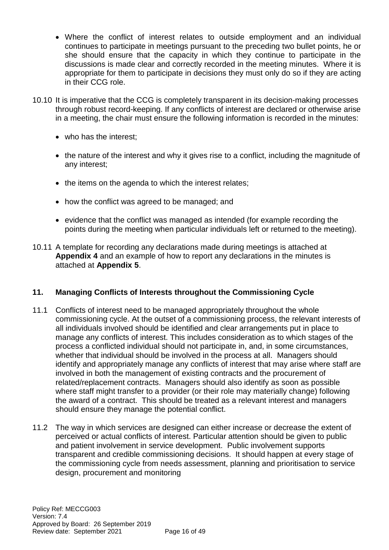- Where the conflict of interest relates to outside employment and an individual continues to participate in meetings pursuant to the preceding two bullet points, he or she should ensure that the capacity in which they continue to participate in the discussions is made clear and correctly recorded in the meeting minutes. Where it is appropriate for them to participate in decisions they must only do so if they are acting in their CCG role.
- 10.10 It is imperative that the CCG is completely transparent in its decision-making processes through robust record-keeping. If any conflicts of interest are declared or otherwise arise in a meeting, the chair must ensure the following information is recorded in the minutes:
	- who has the interest;
	- the nature of the interest and why it gives rise to a conflict, including the magnitude of any interest;
	- the items on the agenda to which the interest relates;
	- how the conflict was agreed to be managed; and
	- evidence that the conflict was managed as intended (for example recording the points during the meeting when particular individuals left or returned to the meeting).
- 10.11 A template for recording any declarations made during meetings is attached at **Appendix 4** and an example of how to report any declarations in the minutes is attached at **Appendix 5**.

# **11. Managing Conflicts of Interests throughout the Commissioning Cycle**

- 11.1 Conflicts of interest need to be managed appropriately throughout the whole commissioning cycle. At the outset of a commissioning process, the relevant interests of all individuals involved should be identified and clear arrangements put in place to manage any conflicts of interest. This includes consideration as to which stages of the process a conflicted individual should not participate in, and, in some circumstances, whether that individual should be involved in the process at all. Managers should identify and appropriately manage any conflicts of interest that may arise where staff are involved in both the management of existing contracts and the procurement of related/replacement contracts. Managers should also identify as soon as possible where staff might transfer to a provider (or their role may materially change) following the award of a contract. This should be treated as a relevant interest and managers should ensure they manage the potential conflict.
- 11.2 The way in which services are designed can either increase or decrease the extent of perceived or actual conflicts of interest. Particular attention should be given to public and patient involvement in service development. Public involvement supports transparent and credible commissioning decisions. It should happen at every stage of the commissioning cycle from needs assessment, planning and prioritisation to service design, procurement and monitoring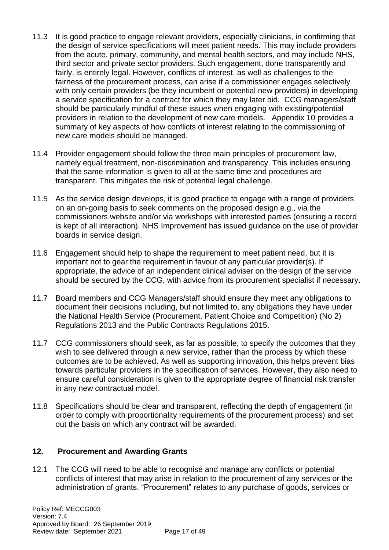- 11.3 It is good practice to engage relevant providers, especially clinicians, in confirming that the design of service specifications will meet patient needs. This may include providers from the acute, primary, community, and mental health sectors, and may include NHS, third sector and private sector providers. Such engagement, done transparently and fairly, is entirely legal. However, conflicts of interest, as well as challenges to the fairness of the procurement process, can arise if a commissioner engages selectively with only certain providers (be they incumbent or potential new providers) in developing a service specification for a contract for which they may later bid. CCG managers/staff should be particularly mindful of these issues when engaging with existing/potential providers in relation to the development of new care models. Appendix 10 provides a summary of key aspects of how conflicts of interest relating to the commissioning of new care models should be managed.
- 11.4 Provider engagement should follow the three main principles of procurement law, namely equal treatment, non-discrimination and transparency. This includes ensuring that the same information is given to all at the same time and procedures are transparent. This mitigates the risk of potential legal challenge.
- 11.5 As the service design develops, it is good practice to engage with a range of providers on an on-going basis to seek comments on the proposed design e.g., via the commissioners website and/or via workshops with interested parties (ensuring a record is kept of all interaction). NHS Improvement has issued guidance on the use of provider boards in service design.
- 11.6 Engagement should help to shape the requirement to meet patient need, but it is important not to gear the requirement in favour of any particular provider(s). If appropriate, the advice of an independent clinical adviser on the design of the service should be secured by the CCG, with advice from its procurement specialist if necessary.
- 11.7 Board members and CCG Managers/staff should ensure they meet any obligations to document their decisions including, but not limited to, any obligations they have under the National Health Service (Procurement, Patient Choice and Competition) (No 2) Regulations 2013 and the Public Contracts Regulations 2015.
- 11.7 CCG commissioners should seek, as far as possible, to specify the outcomes that they wish to see delivered through a new service, rather than the process by which these outcomes are to be achieved. As well as supporting innovation, this helps prevent bias towards particular providers in the specification of services. However, they also need to ensure careful consideration is given to the appropriate degree of financial risk transfer in any new contractual model.
- 11.8 Specifications should be clear and transparent, reflecting the depth of engagement (in order to comply with proportionality requirements of the procurement process) and set out the basis on which any contract will be awarded.

# **12. Procurement and Awarding Grants**

12.1The CCG will need to be able to recognise and manage any conflicts or potential conflicts of interest that may arise in relation to the procurement of any services or the administration of grants. "Procurement" relates to any purchase of goods, services or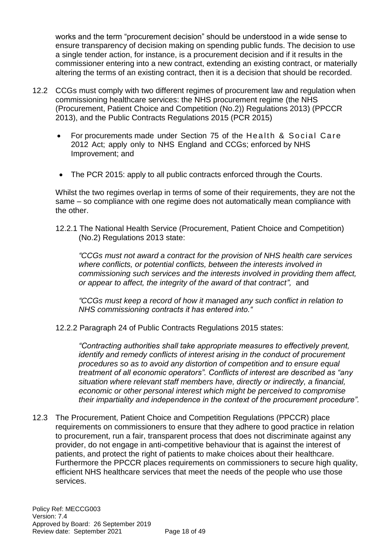works and the term "procurement decision" should be understood in a wide sense to ensure transparency of decision making on spending public funds. The decision to use a single tender action, for instance, is a procurement decision and if it results in the commissioner entering into a new contract, extending an existing contract, or materially altering the terms of an existing contract, then it is a decision that should be recorded.

- 12.2 CCGs must comply with two different regimes of procurement law and regulation when commissioning healthcare services: the NHS procurement regime (the NHS (Procurement, Patient Choice and Competition (No.2)) Regulations 2013) (PPCCR 2013), and the Public Contracts Regulations 2015 (PCR 2015)
	- For procurements made under Section 75 of the Health & Social Care 2012 Act; apply only to NHS England and CCGs; enforced by NHS Improvement; and
	- The PCR 2015: apply to all public contracts enforced through the Courts.

Whilst the two regimes overlap in terms of some of their requirements, they are not the same – so compliance with one regime does not automatically mean compliance with the other.

12.2.1 The National Health Service (Procurement, Patient Choice and Competition) (No.2) Regulations 2013 state:

*"CCGs must not award a contract for the provision of NHS health care services where conflicts, or potential conflicts, between the interests involved in commissioning such services and the interests involved in providing them affect, or appear to affect, the integrity of the award of that contract",* and

*"CCGs must keep a record of how it managed any such conflict in relation to NHS commissioning contracts it has entered into."*

12.2.2 Paragraph 24 of Public Contracts Regulations 2015 states:

*"Contracting authorities shall take appropriate measures to effectively prevent, identify and remedy conflicts of interest arising in the conduct of procurement procedures so as to avoid any distortion of competition and to ensure equal treatment of all economic operators". Conflicts of interest are described as "any situation where relevant staff members have, directly or indirectly, a financial, economic or other personal interest which might be perceived to compromise their impartiality and independence in the context of the procurement procedure".*

12.3 The Procurement, Patient Choice and Competition Regulations (PPCCR) place requirements on commissioners to ensure that they adhere to good practice in relation to procurement, run a fair, transparent process that does not discriminate against any provider, do not engage in anti-competitive behaviour that is against the interest of patients, and protect the right of patients to make choices about their healthcare. Furthermore the PPCCR places requirements on commissioners to secure high quality, efficient NHS healthcare services that meet the needs of the people who use those services.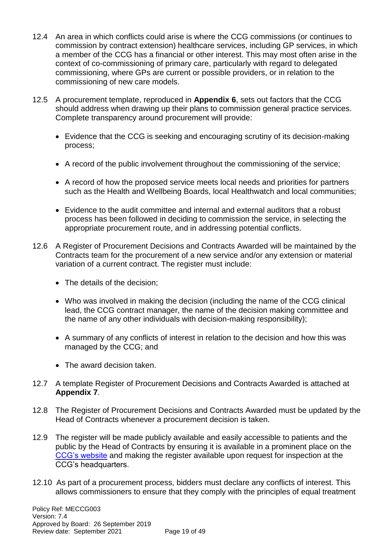- 12.4 An area in which conflicts could arise is where the CCG commissions (or continues to commission by contract extension) healthcare services, including GP services, in which a member of the CCG has a financial or other interest. This may most often arise in the context of co-commissioning of primary care, particularly with regard to delegated commissioning, where GPs are current or possible providers, or in relation to the commissioning of new care models.
- 12.5 A procurement template, reproduced in **Appendix 6**, sets out factors that the CCG should address when drawing up their plans to commission general practice services. Complete transparency around procurement will provide:
	- Evidence that the CCG is seeking and encouraging scrutiny of its decision-making process;
	- A record of the public involvement throughout the commissioning of the service;
	- A record of how the proposed service meets local needs and priorities for partners such as the Health and Wellbeing Boards, local Healthwatch and local communities;
	- Evidence to the audit committee and internal and external auditors that a robust process has been followed in deciding to commission the service, in selecting the appropriate procurement route, and in addressing potential conflicts.
- 12.6 A Register of Procurement Decisions and Contracts Awarded will be maintained by the Contracts team for the procurement of a new service and/or any extension or material variation of a current contract. The register must include:
	- The details of the decision:
	- Who was involved in making the decision (including the name of the CCG clinical lead, the CCG contract manager, the name of the decision making committee and the name of any other individuals with decision-making responsibility);
	- A summary of any conflicts of interest in relation to the decision and how this was managed by the CCG; and
	- The award decision taken.
- 12.7 A template Register of Procurement Decisions and Contracts Awarded is attached at **Appendix 7**.
- 12.8 The Register of Procurement Decisions and Contracts Awarded must be updated by the Head of Contracts whenever a procurement decision is taken.
- 12.9 The register will be made publicly available and easily accessible to patients and the public by the Head of Contracts by ensuring it is available in a prominent place on the [CCG's website](https://midessexccg.nhs.uk/about-us/the-library/registers-of-interest/register-of-procurement-decisions) and making the register available upon request for inspection at the CCG's headquarters.
- 12.10 As part of a procurement process, bidders must declare any conflicts of interest. This allows commissioners to ensure that they comply with the principles of equal treatment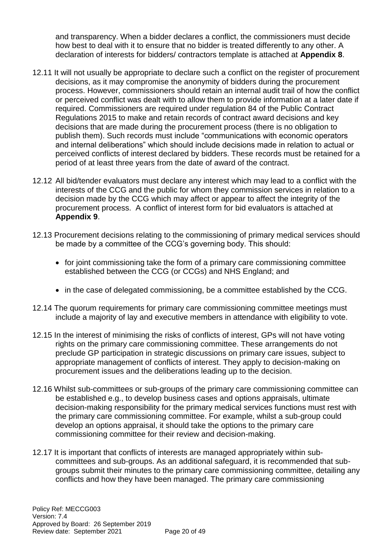and transparency. When a bidder declares a conflict, the commissioners must decide how best to deal with it to ensure that no bidder is treated differently to any other. A declaration of interests for bidders/ contractors template is attached at **Appendix 8**.

- 12.11 It will not usually be appropriate to declare such a conflict on the register of procurement decisions, as it may compromise the anonymity of bidders during the procurement process. However, commissioners should retain an internal audit trail of how the conflict or perceived conflict was dealt with to allow them to provide information at a later date if required. Commissioners are required under regulation 84 of the Public Contract Regulations 2015 to make and retain records of contract award decisions and key decisions that are made during the procurement process (there is no obligation to publish them). Such records must include "communications with economic operators and internal deliberations" which should include decisions made in relation to actual or perceived conflicts of interest declared by bidders. These records must be retained for a period of at least three years from the date of award of the contract.
- 12.12 All bid/tender evaluators must declare any interest which may lead to a conflict with the interests of the CCG and the public for whom they commission services in relation to a decision made by the CCG which may affect or appear to affect the integrity of the procurement process. A conflict of interest form for bid evaluators is attached at **Appendix 9**.
- 12.13 Procurement decisions relating to the commissioning of primary medical services should be made by a committee of the CCG's governing body. This should:
	- for joint commissioning take the form of a primary care commissioning committee established between the CCG (or CCGs) and NHS England; and
	- in the case of delegated commissioning, be a committee established by the CCG.
- 12.14 The quorum requirements for primary care commissioning committee meetings must include a majority of lay and executive members in attendance with eligibility to vote.
- 12.15 In the interest of minimising the risks of conflicts of interest, GPs will not have voting rights on the primary care commissioning committee. These arrangements do not preclude GP participation in strategic discussions on primary care issues, subject to appropriate management of conflicts of interest. They apply to decision-making on procurement issues and the deliberations leading up to the decision.
- 12.16 Whilst sub-committees or sub-groups of the primary care commissioning committee can be established e.g., to develop business cases and options appraisals, ultimate decision-making responsibility for the primary medical services functions must rest with the primary care commissioning committee. For example, whilst a sub-group could develop an options appraisal, it should take the options to the primary care commissioning committee for their review and decision-making.
- 12.17 It is important that conflicts of interests are managed appropriately within subcommittees and sub-groups. As an additional safeguard, it is recommended that subgroups submit their minutes to the primary care commissioning committee, detailing any conflicts and how they have been managed. The primary care commissioning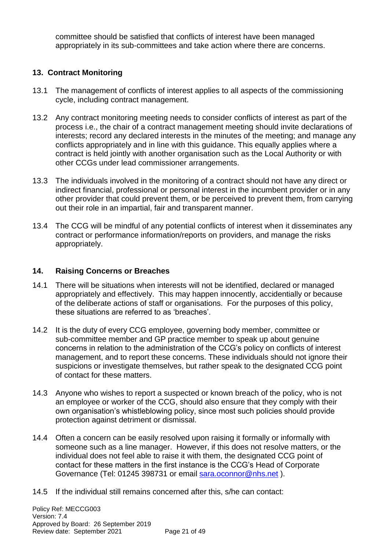committee should be satisfied that conflicts of interest have been managed appropriately in its sub-committees and take action where there are concerns.

# **13. Contract Monitoring**

- 13.1 The management of conflicts of interest applies to all aspects of the commissioning cycle, including contract management.
- 13.2 Any contract monitoring meeting needs to consider conflicts of interest as part of the process i.e., the chair of a contract management meeting should invite declarations of interests; record any declared interests in the minutes of the meeting; and manage any conflicts appropriately and in line with this guidance. This equally applies where a contract is held jointly with another organisation such as the Local Authority or with other CCGs under lead commissioner arrangements.
- 13.3 The individuals involved in the monitoring of a contract should not have any direct or indirect financial, professional or personal interest in the incumbent provider or in any other provider that could prevent them, or be perceived to prevent them, from carrying out their role in an impartial, fair and transparent manner.
- 13.4 The CCG will be mindful of any potential conflicts of interest when it disseminates any contract or performance information/reports on providers, and manage the risks appropriately.

# **14. Raising Concerns or Breaches**

- 14.1 There will be situations when interests will not be identified, declared or managed appropriately and effectively. This may happen innocently, accidentially or because of the deliberate actions of staff or organisations. For the purposes of this policy, these situations are referred to as 'breaches'.
- 14.2 It is the duty of every CCG employee, governing body member, committee or sub-committee member and GP practice member to speak up about genuine concerns in relation to the administration of the CCG's policy on conflicts of interest management, and to report these concerns. These individuals should not ignore their suspicions or investigate themselves, but rather speak to the designated CCG point of contact for these matters.
- 14.3 Anyone who wishes to report a suspected or known breach of the policy, who is not an employee or worker of the CCG, should also ensure that they comply with their own organisation's whistleblowing policy, since most such policies should provide protection against detriment or dismissal.
- 14.4 Often a concern can be easily resolved upon raising it formally or informally with someone such as a line manager. However, if this does not resolve matters, or the individual does not feel able to raise it with them, the designated CCG point of contact for these matters in the first instance is the CCG's Head of Corporate Governance (Tel: 01245 398731 or email [sara.oconnor@nhs.net](mailto:sara.oconnor@nhs.net) ).
- 14.5 If the individual still remains concerned after this, s/he can contact: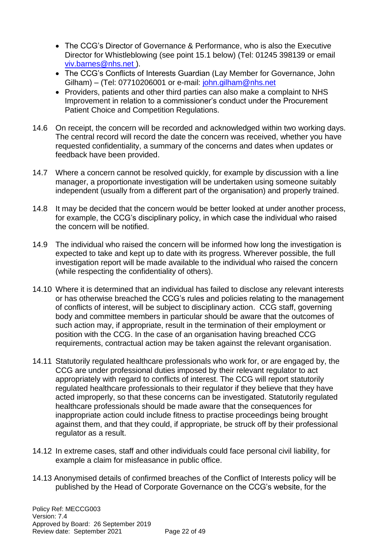- The CCG's Director of Governance & Performance, who is also the Executive Director for Whistleblowing (see point 15.1 below) (Tel: 01245 398139 or email [viv.barnes@nhs.net \)](mailto:viv.barnes@nhs.net).
- The CCG's Conflicts of Interests Guardian (Lay Member for Governance, John Gilham) – (Tel: 07710206001 or e-mail: [john.gilham@nhs.net](mailto:john.gilham@nhs.net)
- Providers, patients and other third parties can also make a complaint to NHS Improvement in relation to a commissioner's conduct under the Procurement Patient Choice and Competition Regulations.
- 14.6 On receipt, the concern will be recorded and acknowledged within two working days. The central record will record the date the concern was received, whether you have requested confidentiality, a summary of the concerns and dates when updates or feedback have been provided.
- 14.7 Where a concern cannot be resolved quickly, for example by discussion with a line manager, a proportionate investigation will be undertaken using someone suitably independent (usually from a different part of the organisation) and properly trained.
- 14.8 It may be decided that the concern would be better looked at under another process, for example, the CCG's disciplinary policy, in which case the individual who raised the concern will be notified.
- 14.9 The individual who raised the concern will be informed how long the investigation is expected to take and kept up to date with its progress. Wherever possible, the full investigation report will be made available to the individual who raised the concern (while respecting the confidentiality of others).
- 14.10 Where it is determined that an individual has failed to disclose any relevant interests or has otherwise breached the CCG's rules and policies relating to the management of conflicts of interest, will be subject to disciplinary action. CCG staff, governing body and committee members in particular should be aware that the outcomes of such action may, if appropriate, result in the termination of their employment or position with the CCG. In the case of an organisation having breached CCG requirements, contractual action may be taken against the relevant organisation.
- 14.11 Statutorily regulated healthcare professionals who work for, or are engaged by, the CCG are under professional duties imposed by their relevant regulator to act appropriately with regard to conflicts of interest. The CCG will report statutorily regulated healthcare professionals to their regulator if they believe that they have acted improperly, so that these concerns can be investigated. Statutorily regulated healthcare professionals should be made aware that the consequences for inappropriate action could include fitness to practise proceedings being brought against them, and that they could, if appropriate, be struck off by their professional regulator as a result.
- 14.12 In extreme cases, staff and other individuals could face personal civil liability, for example a claim for misfeasance in public office.
- 14.13 Anonymised details of confirmed breaches of the Conflict of Interests policy will be published by the Head of Corporate Governance on the CCG's website, for the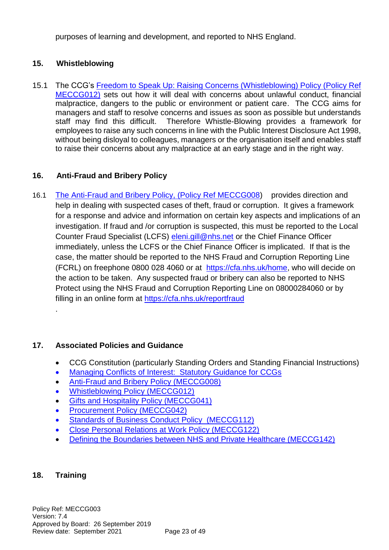purposes of learning and development, and reported to NHS England.

# **15. Whistleblowing**

15.1 The CCG's [Freedom to Speak Up: Raising Concerns \(Whistleblowing\)](https://midessexccg.nhs.uk/about-us/the-library/policy-library/corporate-policies/3042-meccg012-whistleblowing-policy-procedure) Policy (Policy Ref [MECCG012\)](https://midessexccg.nhs.uk/about-us/the-library/policy-library/corporate-policies/3042-meccg012-whistleblowing-policy-procedure) sets out how it will deal with concerns about unlawful conduct, financial malpractice, dangers to the public or environment or patient care. The CCG aims for managers and staff to resolve concerns and issues as soon as possible but understands staff may find this difficult. Therefore Whistle-Blowing provides a framework for employees to raise any such concerns in line with the Public Interest Disclosure Act 1998, without being disloyal to colleagues, managers or the organisation itself and enables staff to raise their concerns about any malpractice at an early stage and in the right way.

# **16. Anti-Fraud and Bribery Policy**

16.1 The [Anti-Fraud and Bribery Policy, \(Policy Ref MECCG008\)](https://midessexccg.nhs.uk/about-us/the-library/policy-library/finance/2020-meccg008-anti-fraud-and-bribery-policy) provides direction and help in dealing with suspected cases of theft, fraud or corruption. It gives a framework for a response and advice and information on certain key aspects and implications of an investigation. If fraud and /or corruption is suspected, this must be reported to the Local Counter Fraud Specialist (LCFS) [eleni.gill@nhs.net](mailto:eleni.gill@nhs.net) or the Chief Finance Officer immediately, unless the LCFS or the Chief Finance Officer is implicated. If that is the case, the matter should be reported to the NHS Fraud and Corruption Reporting Line (FCRL) on freephone 0800 028 4060 or at [https://cfa.nhs.uk/home,](https://cfa.nhs.uk/home) who will decide on the action to be taken. Any suspected fraud or bribery can also be reported to NHS Protect using the NHS Fraud and Corruption Reporting Line on 08000284060 or by filling in an online form at<https://cfa.nhs.uk/reportfraud>

# **17. Associated Policies and Guidance**

- CCG Constitution (particularly Standing Orders and Standing Financial Instructions)
- [Managing Conflicts of Interest: Statutory Guidance for CCGs](https://www.england.nhs.uk/wp-content/uploads/2017/02/guidance-managing-conflicts-of-interest-nhs.pdf)
- [Anti-Fraud and Bribery Policy \(MECCG008\)](https://midessexccg.nhs.uk/about-us/the-library/policy-library/finance/2020-meccg008-anti-fraud-and-bribery-policy)
- [Whistleblowing Policy \(MECCG012\)](http://midessexccg.nhs.uk/about-us/the-library/policy-library/corporate-policies)
- [Gifts and Hospitality Policy \(MECCG041\)](https://midessexccg.nhs.uk/about-us/the-library/policy-library/corporate-policies)
- [Procurement Policy \(MECCG042\)](http://midessexccg.nhs.uk/about-us/the-library/policy-library/finance)
- [Standards of Business Conduct Policy \(MECCG112\)](http://midessexccg.nhs.uk/about-us/the-library/policy-library/corporate-policies)
- [Close Personal Relations at Work Policy \(MECCG122\)](http://midessexccg.nhs.uk/about-us/the-library/policy-library/hr-policies)
- [Defining the Boundaries between NHS and Private Healthcare \(MECCG142\)](http://midessexccg.nhs.uk/about-us/the-library/policy-library)

## **18. Training**

.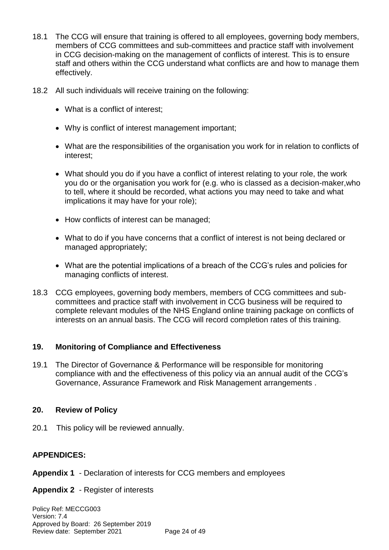- 18.1 The CCG will ensure that training is offered to all employees, governing body members, members of CCG committees and sub-committees and practice staff with involvement in CCG decision-making on the management of conflicts of interest. This is to ensure staff and others within the CCG understand what conflicts are and how to manage them effectively.
- 18.2 All such individuals will receive training on the following:
	- What is a conflict of interest;
	- Why is conflict of interest management important;
	- What are the responsibilities of the organisation you work for in relation to conflicts of interest;
	- What should you do if you have a conflict of interest relating to your role, the work you do or the organisation you work for (e.g. who is classed as a decision-maker,who to tell, where it should be recorded, what actions you may need to take and what implications it may have for your role);
	- How conflicts of interest can be managed;
	- What to do if you have concerns that a conflict of interest is not being declared or managed appropriately;
	- What are the potential implications of a breach of the CCG's rules and policies for managing conflicts of interest.
- 18.3 CCG employees, governing body members, members of CCG committees and subcommittees and practice staff with involvement in CCG business will be required to complete relevant modules of the NHS England online training package on conflicts of interests on an annual basis. The CCG will record completion rates of this training.

## **19. Monitoring of Compliance and Effectiveness**

19.1 The Director of Governance & Performance will be responsible for monitoring compliance with and the effectiveness of this policy via an annual audit of the CCG's Governance, Assurance Framework and Risk Management arrangements.

## **20. Review of Policy**

20.1 This policy will be reviewed annually.

# **APPENDICES:**

- **Appendix 1**  Declaration of interests for CCG members and employees
- **Appendix 2**  Register of interests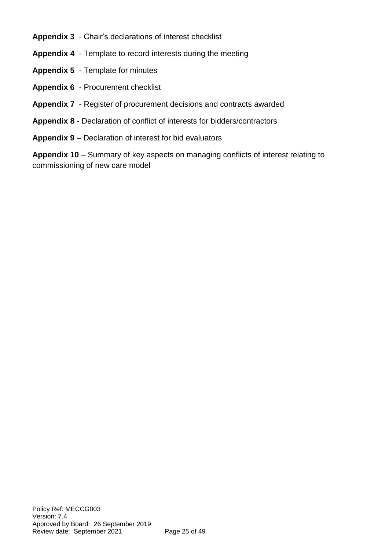- **Appendix 3**  Chair's declarations of interest checklist
- **Appendix 4**  Template to record interests during the meeting
- **Appendix 5**  Template for minutes
- **Appendix 6**  Procurement checklist
- **Appendix 7**  Register of procurement decisions and contracts awarded
- **Appendix 8** Declaration of conflict of interests for bidders/contractors
- **Appendix 9** Declaration of interest for bid evaluators

**Appendix 10** – Summary of key aspects on managing conflicts of interest relating to commissioning of new care model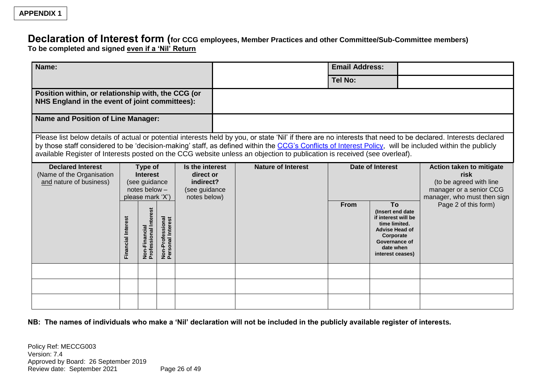# **Declaration of Interest form (for CCG employees, Member Practices and other Committee/Sub-Committee members)**

**To be completed and signed even if a 'Nil' Return**

| Name:                                                                                                                                                                |                           |                                                                            |                                       | <b>Email Address:</b> |                         |                                                                                                                                                                                                                                                                                     |                |                                                                                                                                                         |                                                                                                                                                               |
|----------------------------------------------------------------------------------------------------------------------------------------------------------------------|---------------------------|----------------------------------------------------------------------------|---------------------------------------|-----------------------|-------------------------|-------------------------------------------------------------------------------------------------------------------------------------------------------------------------------------------------------------------------------------------------------------------------------------|----------------|---------------------------------------------------------------------------------------------------------------------------------------------------------|---------------------------------------------------------------------------------------------------------------------------------------------------------------|
|                                                                                                                                                                      |                           |                                                                            |                                       |                       |                         |                                                                                                                                                                                                                                                                                     | <b>Tel No:</b> |                                                                                                                                                         |                                                                                                                                                               |
| Position within, or relationship with, the CCG (or<br>NHS England in the event of joint committees):                                                                 |                           |                                                                            |                                       |                       |                         |                                                                                                                                                                                                                                                                                     |                |                                                                                                                                                         |                                                                                                                                                               |
| <b>Name and Position of Line Manager:</b>                                                                                                                            |                           |                                                                            |                                       |                       |                         |                                                                                                                                                                                                                                                                                     |                |                                                                                                                                                         |                                                                                                                                                               |
|                                                                                                                                                                      |                           |                                                                            |                                       |                       |                         | by those staff considered to be 'decision-making' staff, as defined within the CCG's Conflicts of Interest Policy, will be included within the publicly<br>available Register of Interests posted on the CCG website unless an objection to publication is received (see overleaf). |                |                                                                                                                                                         | Please list below details of actual or potential interests held by you, or state 'Nil' if there are no interests that need to be declared. Interests declared |
| <b>Declared Interest</b><br>Type of<br>(Name of the Organisation<br><b>Interest</b><br>and nature of business)<br>(see guidance<br>notes below -<br>please mark 'X') |                           | Is the interest<br>direct or<br>indirect?<br>(see guidance<br>notes below) | <b>Nature of Interest</b>             |                       | <b>Date of Interest</b> | Action taken to mitigate<br>risk<br>(to be agreed with line<br>manager or a senior CCG<br>manager, who must then sign                                                                                                                                                               |                |                                                                                                                                                         |                                                                                                                                                               |
|                                                                                                                                                                      | <b>Financial Interest</b> | Non-Financial<br>Professional Interest                                     | Non-Professional<br>Personal Interest |                       |                         |                                                                                                                                                                                                                                                                                     | <b>From</b>    | To<br>(Insert end date)<br>if interest will be<br>time limited.<br><b>Advise Head of</b><br>Corporate<br>Governance of<br>date when<br>interest ceases) | Page 2 of this form)                                                                                                                                          |
|                                                                                                                                                                      |                           |                                                                            |                                       |                       |                         |                                                                                                                                                                                                                                                                                     |                |                                                                                                                                                         |                                                                                                                                                               |
|                                                                                                                                                                      |                           |                                                                            |                                       |                       |                         |                                                                                                                                                                                                                                                                                     |                |                                                                                                                                                         |                                                                                                                                                               |
|                                                                                                                                                                      |                           |                                                                            |                                       |                       |                         |                                                                                                                                                                                                                                                                                     |                |                                                                                                                                                         |                                                                                                                                                               |

**NB: The names of individuals who make a 'Nil' declaration will not be included in the publicly available register of interests.**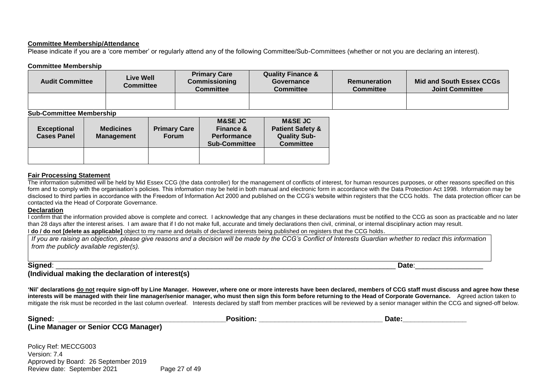#### **Committee Membership/Attendance**

Please indicate if you are a 'core member' or regularly attend any of the following Committee/Sub-Committees (whether or not you are declaring an interest).

#### **Committee Membership**

| <b>Audit Committee</b> | <b>Live Well</b><br>Committee | <b>Primary Care</b><br><b>Commissioning</b><br>Committee | <b>Quality Finance &amp;</b><br>Governance<br><b>Committee</b> | <b>Remuneration</b><br>Committee | Mid and South Essex CCGs<br><b>Joint Committee</b> |
|------------------------|-------------------------------|----------------------------------------------------------|----------------------------------------------------------------|----------------------------------|----------------------------------------------------|
|                        |                               |                                                          |                                                                |                                  |                                                    |

#### **Sub-Committee Membership**

| <b>Exceptional</b><br><b>Cases Panel</b> | <b>Medicines</b><br><b>Management</b> | <b>Primary Care</b><br><b>Forum</b> | <b>M&amp;SE JC</b><br><b>Finance &amp;</b><br><b>Performance</b><br><b>Sub-Committee</b> | <b>M&amp;SE JC</b><br><b>Patient Safety &amp;</b><br><b>Quality Sub-</b><br><b>Committee</b> |
|------------------------------------------|---------------------------------------|-------------------------------------|------------------------------------------------------------------------------------------|----------------------------------------------------------------------------------------------|
|                                          |                                       |                                     |                                                                                          |                                                                                              |

#### **Fair Processing Statement**

The information submitted will be held by Mid Essex CCG (the data controller) for the management of conflicts of interest, for human resources purposes, or other reasons specified on this form and to comply with the organisation's policies. This information may be held in both manual and electronic form in accordance with the Data Protection Act 1998. Information may be disclosed to third parties in accordance with the Freedom of Information Act 2000 and published on the CCG's website within registers that the CCG holds. The data protection officer can be contacted via the Head of Corporate Governance.

#### **Declaration**

I confirm that the information provided above is complete and correct. I acknowledge that any changes in these declarations must be notified to the CCG as soon as practicable and no later than 28 days after the interest arises. I am aware that if I do not make full, accurate and timely declarations then civil, criminal, or internal disciplinary action may result.

I **do / do not [delete as applicable]** object to my name and details of declared interests being published on registers that the CCG holds.

| If you are raising an objection, please give reasons and a decision will be made by the CCG's Conflict of Interests Guardian whether to redact this information |
|-----------------------------------------------------------------------------------------------------------------------------------------------------------------|
| $\mid$ from the publicly available register(s).                                                                                                                 |
|                                                                                                                                                                 |
|                                                                                                                                                                 |

#### **Signed**: \_\_\_\_\_\_\_\_\_\_\_\_\_\_\_\_\_\_\_\_\_\_\_\_\_\_\_\_\_\_\_\_\_\_\_\_\_\_\_\_\_\_\_\_\_\_\_\_\_\_\_\_\_\_\_\_\_\_\_\_\_\_\_\_\_\_\_\_\_\_\_\_\_\_\_\_\_\_\_\_\_\_\_\_\_ **Date**:\_\_\_\_\_\_\_\_\_\_\_\_\_\_\_\_\_

**(Individual making the declaration of interest(s)**

**'Nil' declarations do not require sign-off by Line Manager. However, where one or more interests have been declared, members of CCG staff must discuss and agree how these interests will be managed with their line manager/senior manager, who must then sign this form before returning to the Head of Corporate Governance.** Agreed action taken to mitigate the risk must be recorded in the last column overleaf. Interests declared by staff from member practices will be reviewed by a senior manager within the CCG and signed-off below.

| Signed:                              | <b>Position:</b> | Date: |  |
|--------------------------------------|------------------|-------|--|
| (Line Manager or Senior CCG Manager) |                  |       |  |
| Policy Ref: MECCG003                 |                  |       |  |
| Version: 7.4                         |                  |       |  |

Approved by Board: 26 September 2019 Review date: September 2021 Page 27 of 49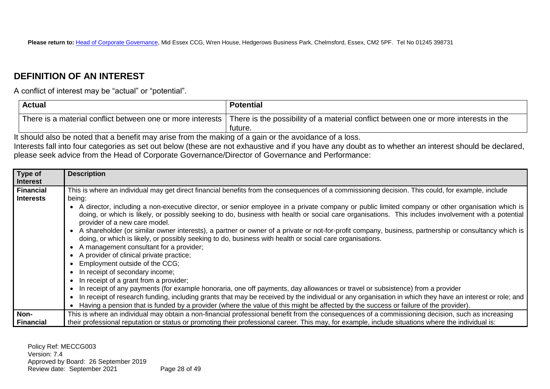# **DEFINITION OF AN INTEREST**

A conflict of interest may be "actual" or "potential".

| <b>Actual</b>                                              | <b>Potential</b>                                                                                |
|------------------------------------------------------------|-------------------------------------------------------------------------------------------------|
| There is a material conflict between one or more interests | There is the possibility of a material conflict between one or more interests in the<br>future. |

It should also be noted that a benefit may arise from the making of a gain or the avoidance of a loss. Interests fall into four categories as set out below (these are not exhaustive and if you have any doubt as to whether an interest should be declared, please seek advice from the Head of Corporate Governance/Director of Governance and Performance:

| Type of          | <b>Description</b>                                                                                                                                                                                                                                                                                                                       |
|------------------|------------------------------------------------------------------------------------------------------------------------------------------------------------------------------------------------------------------------------------------------------------------------------------------------------------------------------------------|
| Interest         |                                                                                                                                                                                                                                                                                                                                          |
| Financial        | This is where an individual may get direct financial benefits from the consequences of a commissioning decision. This could, for example, include                                                                                                                                                                                        |
| <b>Interests</b> | being:                                                                                                                                                                                                                                                                                                                                   |
|                  | A director, including a non-executive director, or senior employee in a private company or public limited company or other organisation which is<br>doing, or which is likely, or possibly seeking to do, business with health or social care organisations. This includes involvement with a potential<br>provider of a new care model. |
|                  | A shareholder (or similar owner interests), a partner or owner of a private or not-for-profit company, business, partnership or consultancy which is<br>doing, or which is likely, or possibly seeking to do, business with health or social care organisations.<br>A management consultant for a provider;                              |
|                  | • A provider of clinical private practice;                                                                                                                                                                                                                                                                                               |
|                  | Employment outside of the CCG;                                                                                                                                                                                                                                                                                                           |
|                  | In receipt of secondary income;                                                                                                                                                                                                                                                                                                          |
|                  | In receipt of a grant from a provider;                                                                                                                                                                                                                                                                                                   |
|                  | In receipt of any payments (for example honoraria, one off payments, day allowances or travel or subsistence) from a provider                                                                                                                                                                                                            |
|                  | In receipt of research funding, including grants that may be received by the individual or any organisation in which they have an interest or role; and                                                                                                                                                                                  |
|                  | Having a pension that is funded by a provider (where the value of this might be affected by the success or failure of the provider).                                                                                                                                                                                                     |
| Non-             | This is where an individual may obtain a non-financial professional benefit from the consequences of a commissioning decision, such as increasing                                                                                                                                                                                        |
| Financial        | their professional reputation or status or promoting their professional career. This may, for example, include situations where the individual is:                                                                                                                                                                                       |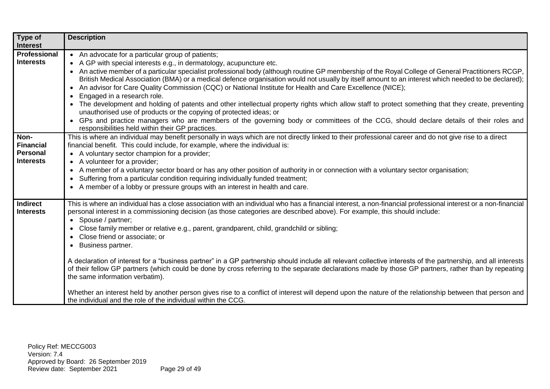| Type of                                                  | <b>Description</b>                                                                                                                                                                                                                                                                                                                                                                                                                                                                                                                                                                                                                                                                                                                                                                                                                                                                                                                                                                                                                                                                     |
|----------------------------------------------------------|----------------------------------------------------------------------------------------------------------------------------------------------------------------------------------------------------------------------------------------------------------------------------------------------------------------------------------------------------------------------------------------------------------------------------------------------------------------------------------------------------------------------------------------------------------------------------------------------------------------------------------------------------------------------------------------------------------------------------------------------------------------------------------------------------------------------------------------------------------------------------------------------------------------------------------------------------------------------------------------------------------------------------------------------------------------------------------------|
| <b>Interest</b>                                          |                                                                                                                                                                                                                                                                                                                                                                                                                                                                                                                                                                                                                                                                                                                                                                                                                                                                                                                                                                                                                                                                                        |
| Professional<br><b>Interests</b>                         | • An advocate for a particular group of patients;<br>• A GP with special interests e.g., in dermatology, acupuncture etc.<br>• An active member of a particular specialist professional body (although routine GP membership of the Royal College of General Practitioners RCGP,<br>British Medical Association (BMA) or a medical defence organisation would not usually by itself amount to an interest which needed to be declared);<br>• An advisor for Care Quality Commission (CQC) or National Institute for Health and Care Excellence (NICE);<br>Engaged in a research role.<br>$\bullet$<br>The development and holding of patents and other intellectual property rights which allow staff to protect something that they create, preventing<br>unauthorised use of products or the copying of protected ideas; or<br>• GPs and practice managers who are members of the governing body or committees of the CCG, should declare details of their roles and<br>responsibilities held within their GP practices.                                                             |
| Non-<br><b>Financial</b><br>Personal<br><b>Interests</b> | This is where an individual may benefit personally in ways which are not directly linked to their professional career and do not give rise to a direct<br>financial benefit. This could include, for example, where the individual is:<br>• A voluntary sector champion for a provider;<br>• A volunteer for a provider;<br>A member of a voluntary sector board or has any other position of authority in or connection with a voluntary sector organisation;<br>$\bullet$<br>Suffering from a particular condition requiring individually funded treatment;<br>$\bullet$<br>• A member of a lobby or pressure groups with an interest in health and care.                                                                                                                                                                                                                                                                                                                                                                                                                            |
| <b>Indirect</b><br><b>Interests</b>                      | This is where an individual has a close association with an individual who has a financial interest, a non-financial professional interest or a non-financial<br>personal interest in a commissioning decision (as those categories are described above). For example, this should include:<br>• Spouse / partner;<br>Close family member or relative e.g., parent, grandparent, child, grandchild or sibling;<br>$\bullet$<br>Close friend or associate; or<br>Business partner.<br>$\bullet$<br>A declaration of interest for a "business partner" in a GP partnership should include all relevant collective interests of the partnership, and all interests<br>of their fellow GP partners (which could be done by cross referring to the separate declarations made by those GP partners, rather than by repeating<br>the same information verbatim).<br>Whether an interest held by another person gives rise to a conflict of interest will depend upon the nature of the relationship between that person and<br>the individual and the role of the individual within the CCG. |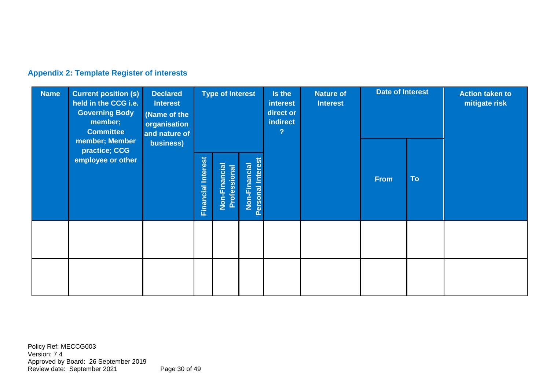# **Appendix 2: Template Register of interests**

| <b>Name</b> | <b>Current position (s)</b><br>held in the CCG i.e.<br><b>Governing Body</b><br>member;<br><b>Committee</b><br>member; Member | <b>Declared</b><br><b>Interest</b><br>(Name of the<br>organisation<br>and nature of<br>business)<br>practice; CCG | <b>Type of Interest</b>   |                                             | Is the<br>interest<br>direct or<br>indirect<br>$\overline{?}$ | <b>Nature of</b><br><b>Interest</b> | <b>Date of Interest</b> |                          | <b>Action taken to</b><br>mitigate risk |  |
|-------------|-------------------------------------------------------------------------------------------------------------------------------|-------------------------------------------------------------------------------------------------------------------|---------------------------|---------------------------------------------|---------------------------------------------------------------|-------------------------------------|-------------------------|--------------------------|-----------------------------------------|--|
|             | employee or other                                                                                                             |                                                                                                                   | <b>Financial Interest</b> | $ci$ al<br>Professional<br>Ě.<br>Ë<br>Non-I | Personal Interes<br>Non-Financial                             |                                     |                         | <b>To</b><br><b>From</b> |                                         |  |
|             |                                                                                                                               |                                                                                                                   |                           |                                             |                                                               |                                     |                         |                          |                                         |  |
|             |                                                                                                                               |                                                                                                                   |                           |                                             |                                                               |                                     |                         |                          |                                         |  |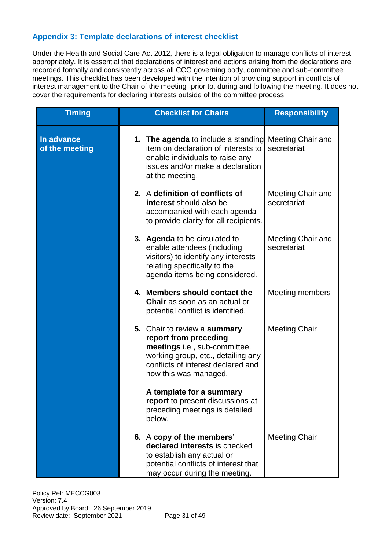# **Appendix 3: Template declarations of interest checklist**

Under the Health and Social Care Act 2012, there is a legal obligation to manage conflicts of interest appropriately. It is essential that declarations of interest and actions arising from the declarations are recorded formally and consistently across all CCG governing body, committee and sub-committee meetings. This checklist has been developed with the intention of providing support in conflicts of interest management to the Chair of the meeting- prior to, during and following the meeting. It does not cover the requirements for declaring interests outside of the committee process.

| <b>Timing</b>                | <b>Checklist for Chairs</b>                                                                                                                                                                 | <b>Responsibility</b>            |
|------------------------------|---------------------------------------------------------------------------------------------------------------------------------------------------------------------------------------------|----------------------------------|
| In advance<br>of the meeting | 1. The agenda to include a standing<br>item on declaration of interests to<br>enable individuals to raise any<br>issues and/or make a declaration<br>at the meeting.                        | Meeting Chair and<br>secretariat |
|                              | 2. A definition of conflicts of<br>interest should also be<br>accompanied with each agenda<br>to provide clarity for all recipients.                                                        | Meeting Chair and<br>secretariat |
|                              | 3. Agenda to be circulated to<br>enable attendees (including<br>visitors) to identify any interests<br>relating specifically to the<br>agenda items being considered.                       | Meeting Chair and<br>secretariat |
|                              | 4. Members should contact the<br><b>Chair</b> as soon as an actual or<br>potential conflict is identified.                                                                                  | Meeting members                  |
|                              | 5. Chair to review a summary<br>report from preceding<br>meetings i.e., sub-committee,<br>working group, etc., detailing any<br>conflicts of interest declared and<br>how this was managed. | <b>Meeting Chair</b>             |
|                              | A template for a summary<br>report to present discussions at<br>preceding meetings is detailed<br>below.                                                                                    |                                  |
|                              | 6. A copy of the members'<br>declared interests is checked<br>to establish any actual or<br>potential conflicts of interest that<br>may occur during the meeting.                           | <b>Meeting Chair</b>             |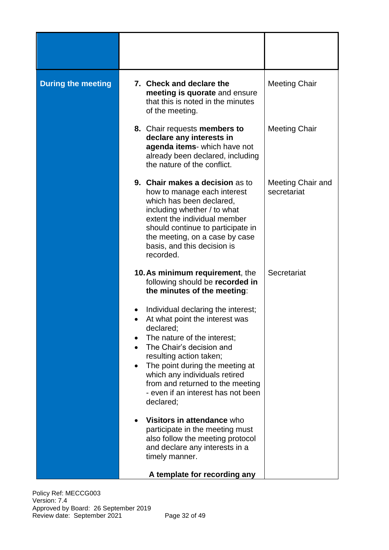| <b>During the meeting</b> | 7. Check and declare the<br>meeting is quorate and ensure<br>that this is noted in the minutes<br>of the meeting.                                                                                                                                                                                                                  | <b>Meeting Chair</b>             |
|---------------------------|------------------------------------------------------------------------------------------------------------------------------------------------------------------------------------------------------------------------------------------------------------------------------------------------------------------------------------|----------------------------------|
|                           | 8. Chair requests members to<br>declare any interests in<br>agenda items- which have not<br>already been declared, including<br>the nature of the conflict.                                                                                                                                                                        | <b>Meeting Chair</b>             |
|                           | 9. Chair makes a decision as to<br>how to manage each interest<br>which has been declared,<br>including whether / to what<br>extent the individual member<br>should continue to participate in<br>the meeting, on a case by case<br>basis, and this decision is<br>recorded.                                                       | Meeting Chair and<br>secretariat |
|                           | 10. As minimum requirement, the<br>following should be recorded in<br>the minutes of the meeting:                                                                                                                                                                                                                                  | Secretariat                      |
|                           | Individual declaring the interest;<br>At what point the interest was<br>declared;<br>The nature of the interest;<br>The Chair's decision and<br>resulting action taken;<br>The point during the meeting at<br>which any individuals retired<br>from and returned to the meeting<br>- even if an interest has not been<br>declared; |                                  |
|                           | Visitors in attendance who<br>participate in the meeting must<br>also follow the meeting protocol<br>and declare any interests in a<br>timely manner.<br>A template for recording any                                                                                                                                              |                                  |

Policy Ref: MECCG003 Version: 7.4 Approved by Board: 26 September 2019 Review date: September 2021 Page 32 of 49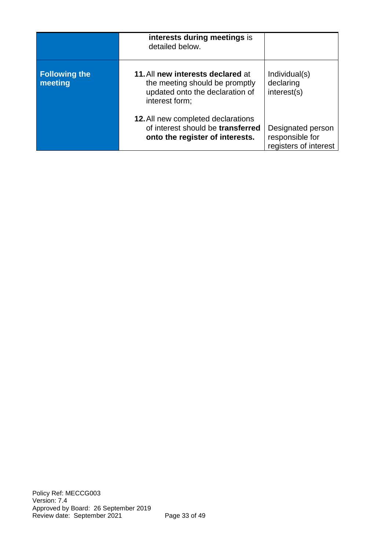|                                 | interests during meetings is<br>detailed below.                                                                          |                                                               |
|---------------------------------|--------------------------------------------------------------------------------------------------------------------------|---------------------------------------------------------------|
| <b>Following the</b><br>meeting | 11. All new interests declared at<br>the meeting should be promptly<br>updated onto the declaration of<br>interest form; | Individual(s)<br>declaring<br>interest(s)                     |
|                                 | <b>12.</b> All new completed declarations<br>of interest should be transferred<br>onto the register of interests.        | Designated person<br>responsible for<br>registers of interest |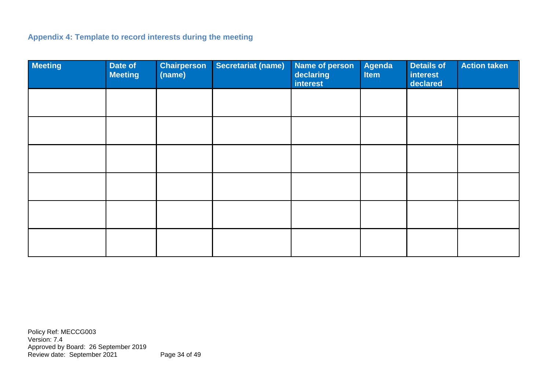# **Appendix 4: Template to record interests during the meeting**

| <b>Meeting</b> | Date of<br><b>Meeting</b> | <b>Chairperson</b><br>(name) | Secretariat (name) | <b>Name of person</b><br>declaring<br><b>interest</b> | Agenda<br><b>Item</b> | <b>Details of</b><br><b>interest</b><br>declared | <b>Action taken</b> |
|----------------|---------------------------|------------------------------|--------------------|-------------------------------------------------------|-----------------------|--------------------------------------------------|---------------------|
|                |                           |                              |                    |                                                       |                       |                                                  |                     |
|                |                           |                              |                    |                                                       |                       |                                                  |                     |
|                |                           |                              |                    |                                                       |                       |                                                  |                     |
|                |                           |                              |                    |                                                       |                       |                                                  |                     |
|                |                           |                              |                    |                                                       |                       |                                                  |                     |
|                |                           |                              |                    |                                                       |                       |                                                  |                     |

Policy Ref: MECCG003 Version: 7.4 Approved by Board: 26 September 2019 Review date: September 2021 Page 34 of 49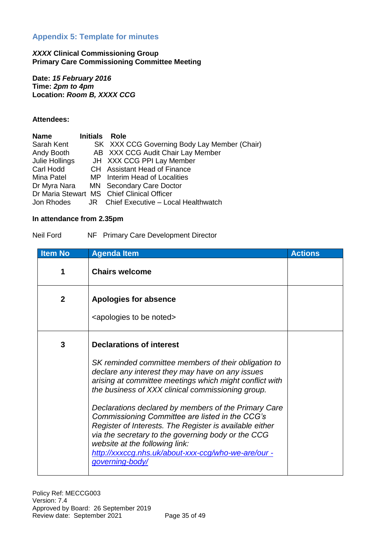# **Appendix 5: Template for minutes**

#### *XXXX* **Clinical Commissioning Group Primary Care Commissioning Committee Meeting**

**Date:** *15 February 2016* **Time:** *2pm to 4pm* **Location:** *Room B, XXXX CCG*

#### **Attendees:**

| <b>Name</b>    | Initials Role |                                              |
|----------------|---------------|----------------------------------------------|
| Sarah Kent     |               | SK XXX CCG Governing Body Lay Member (Chair) |
| Andy Booth     |               | AB XXX CCG Audit Chair Lay Member            |
| Julie Hollings |               | JH XXX CCG PPI Lay Member                    |
| Carl Hodd      |               | CH Assistant Head of Finance                 |
| Mina Patel     |               | MP Interim Head of Localities                |
|                |               | Dr Myra Nara MN Secondary Care Doctor        |
|                |               | Dr Maria Stewart MS Chief Clinical Officer   |
| Jon Rhodes     |               | JR Chief Executive - Local Healthwatch       |

#### **In attendance from 2.35pm**

| Neil Ford |  |  | NF Primary Care Development Director |  |  |
|-----------|--|--|--------------------------------------|--|--|
|-----------|--|--|--------------------------------------|--|--|

| <b>Item No</b> | <b>Agenda Item</b>                                                                                                                                                                                                                                                                                                                                                                                                                                                                                                                                                                                  | <b>Actions</b> |
|----------------|-----------------------------------------------------------------------------------------------------------------------------------------------------------------------------------------------------------------------------------------------------------------------------------------------------------------------------------------------------------------------------------------------------------------------------------------------------------------------------------------------------------------------------------------------------------------------------------------------------|----------------|
| 1              | <b>Chairs welcome</b>                                                                                                                                                                                                                                                                                                                                                                                                                                                                                                                                                                               |                |
| $\mathbf{2}$   | <b>Apologies for absence</b><br><apologies be="" noted="" to=""></apologies>                                                                                                                                                                                                                                                                                                                                                                                                                                                                                                                        |                |
| 3              | <b>Declarations of interest</b><br>SK reminded committee members of their obligation to<br>declare any interest they may have on any issues<br>arising at committee meetings which might conflict with<br>the business of XXX clinical commissioning group.<br>Declarations declared by members of the Primary Care<br>Commissioning Committee are listed in the CCG's<br>Register of Interests. The Register is available either<br>via the secretary to the governing body or the CCG<br>website at the following link:<br>http://xxxccg.nhs.uk/about-xxx-ccg/who-we-are/our -<br>governing-body/ |                |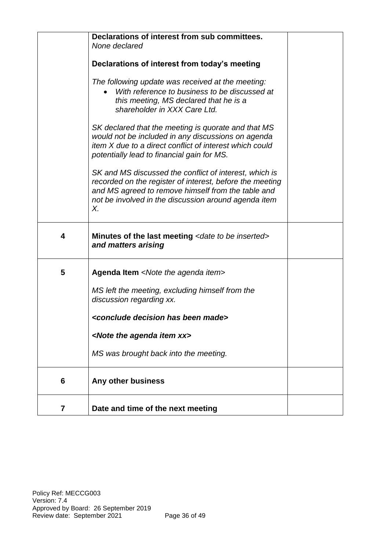|   | Declarations of interest from sub committees.<br>None declared<br>Declarations of interest from today's meeting<br>The following update was received at the meeting:<br>With reference to business to be discussed at<br>this meeting, MS declared that he is a<br>shareholder in XXX Care Ltd.<br>SK declared that the meeting is quorate and that MS<br>would not be included in any discussions on agenda<br>item X due to a direct conflict of interest which could<br>potentially lead to financial gain for MS.<br>SK and MS discussed the conflict of interest, which is<br>recorded on the register of interest, before the meeting |  |
|---|---------------------------------------------------------------------------------------------------------------------------------------------------------------------------------------------------------------------------------------------------------------------------------------------------------------------------------------------------------------------------------------------------------------------------------------------------------------------------------------------------------------------------------------------------------------------------------------------------------------------------------------------|--|
|   | and MS agreed to remove himself from the table and<br>not be involved in the discussion around agenda item<br>Х.                                                                                                                                                                                                                                                                                                                                                                                                                                                                                                                            |  |
| 4 | Minutes of the last meeting <date be="" inserted="" to=""><br/>and matters arising</date>                                                                                                                                                                                                                                                                                                                                                                                                                                                                                                                                                   |  |
| 5 | Agenda Item <note agenda="" item="" the=""><br/>MS left the meeting, excluding himself from the</note>                                                                                                                                                                                                                                                                                                                                                                                                                                                                                                                                      |  |
|   | discussion regarding xx.<br><conclude been="" decision="" has="" made=""></conclude>                                                                                                                                                                                                                                                                                                                                                                                                                                                                                                                                                        |  |
|   | <note agenda="" item="" the="" xx=""></note>                                                                                                                                                                                                                                                                                                                                                                                                                                                                                                                                                                                                |  |
|   | MS was brought back into the meeting.                                                                                                                                                                                                                                                                                                                                                                                                                                                                                                                                                                                                       |  |
| 6 | Any other business                                                                                                                                                                                                                                                                                                                                                                                                                                                                                                                                                                                                                          |  |
| 7 | Date and time of the next meeting                                                                                                                                                                                                                                                                                                                                                                                                                                                                                                                                                                                                           |  |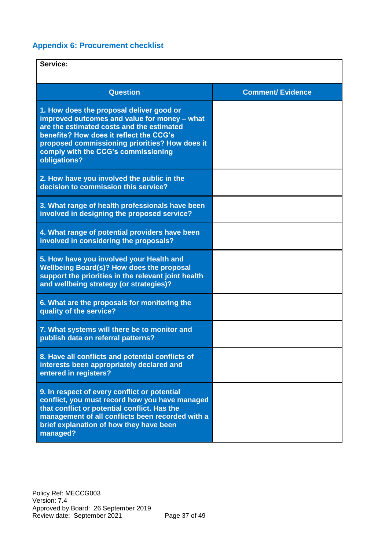# **Appendix 6: Procurement checklist**

| Service:                                                                                                                                                                                                                                                                                  |                          |
|-------------------------------------------------------------------------------------------------------------------------------------------------------------------------------------------------------------------------------------------------------------------------------------------|--------------------------|
| <b>Question</b>                                                                                                                                                                                                                                                                           | <b>Comment/ Evidence</b> |
| 1. How does the proposal deliver good or<br>improved outcomes and value for money - what<br>are the estimated costs and the estimated<br>benefits? How does it reflect the CCG's<br>proposed commissioning priorities? How does it<br>comply with the CCG's commissioning<br>obligations? |                          |
| 2. How have you involved the public in the<br>decision to commission this service?                                                                                                                                                                                                        |                          |
| 3. What range of health professionals have been<br>involved in designing the proposed service?                                                                                                                                                                                            |                          |
| 4. What range of potential providers have been<br>involved in considering the proposals?                                                                                                                                                                                                  |                          |
| 5. How have you involved your Health and<br>Wellbeing Board(s)? How does the proposal<br>support the priorities in the relevant joint health<br>and wellbeing strategy (or strategies)?                                                                                                   |                          |
| 6. What are the proposals for monitoring the<br>quality of the service?                                                                                                                                                                                                                   |                          |
| 7. What systems will there be to monitor and<br>publish data on referral patterns?                                                                                                                                                                                                        |                          |
| 8. Have all conflicts and potential conflicts of<br>interests been appropriately declared and<br>entered in registers?                                                                                                                                                                    |                          |
| 9. In respect of every conflict or potential<br>conflict, you must record how you have managed<br>that conflict or potential conflict. Has the<br>management of all conflicts been recorded with a<br>brief explanation of how they have been<br>managed?                                 |                          |

Policy Ref: MECCG003 Version: 7.4 Approved by Board: 26 September 2019 Review date: September 2021 Page 37 of 49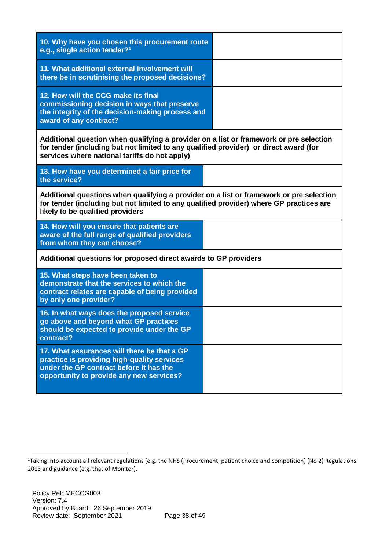| 10. Why have you chosen this procurement route<br>e.g., single action tender? <sup>1</sup>                                                                                                                                       |  |  |  |  |
|----------------------------------------------------------------------------------------------------------------------------------------------------------------------------------------------------------------------------------|--|--|--|--|
| 11. What additional external involvement will<br>there be in scrutinising the proposed decisions?                                                                                                                                |  |  |  |  |
| 12. How will the CCG make its final<br>commissioning decision in ways that preserve<br>the integrity of the decision-making process and<br>award of any contract?                                                                |  |  |  |  |
| Additional question when qualifying a provider on a list or framework or pre selection<br>for tender (including but not limited to any qualified provider) or direct award (for<br>services where national tariffs do not apply) |  |  |  |  |
| 13. How have you determined a fair price for<br>the service?                                                                                                                                                                     |  |  |  |  |
| Additional questions when qualifying a provider on a list or framework or pre selection<br>for tender (including but not limited to any qualified provider) where GP practices are<br>likely to be qualified providers           |  |  |  |  |
| 14. How will you ensure that patients are<br>aware of the full range of qualified providers<br>from whom they can choose?                                                                                                        |  |  |  |  |
| Additional questions for proposed direct awards to GP providers                                                                                                                                                                  |  |  |  |  |
| 15. What steps have been taken to<br>demonstrate that the services to which the<br>contract relates are capable of being provided<br>by only one provider?                                                                       |  |  |  |  |
| 16. In what ways does the proposed service<br>go above and beyond what GP practices<br>should be expected to provide under the GP<br>contract?                                                                                   |  |  |  |  |
| 17. What assurances will there be that a GP<br>practice is providing high-quality services<br>under the GP contract before it has the<br>opportunity to provide any new services?                                                |  |  |  |  |

 $\overline{a}$ 

<sup>&</sup>lt;sup>1</sup>Taking into account all relevant regulations (e.g. the NHS (Procurement, patient choice and competition) (No 2) Regulations 2013 and guidance (e.g. that of Monitor).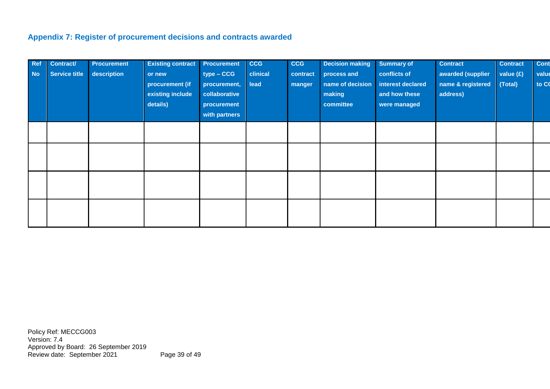# **Appendix 7: Register of procurement decisions and contracts awarded**

| <b>Ref</b><br><b>No</b> | Contract/<br><b>Service title</b> | <b>Procurement</b><br>description | <b>Existing contract</b><br>or new<br>procurement (if<br>existing include<br>details) | Procurement<br>$type - CGG$<br>procurement,<br>collaborative<br>procurement<br>with partners | CCG<br>clinical<br>lead | <b>CCG</b><br>contract<br>manger | <b>Decision making</b><br>process and<br>name of decision<br>making<br>committee | <b>Summary of</b><br>conflicts of<br>interest declared<br>and how these<br>were managed | <b>Contract</b><br>awarded (supplier<br>name & registered<br>address) | <b>Contract</b><br>value (£)<br>(Total) | Cont<br>value<br>to CO |
|-------------------------|-----------------------------------|-----------------------------------|---------------------------------------------------------------------------------------|----------------------------------------------------------------------------------------------|-------------------------|----------------------------------|----------------------------------------------------------------------------------|-----------------------------------------------------------------------------------------|-----------------------------------------------------------------------|-----------------------------------------|------------------------|
|                         |                                   |                                   |                                                                                       |                                                                                              |                         |                                  |                                                                                  |                                                                                         |                                                                       |                                         |                        |
|                         |                                   |                                   |                                                                                       |                                                                                              |                         |                                  |                                                                                  |                                                                                         |                                                                       |                                         |                        |
|                         |                                   |                                   |                                                                                       |                                                                                              |                         |                                  |                                                                                  |                                                                                         |                                                                       |                                         |                        |
|                         |                                   |                                   |                                                                                       |                                                                                              |                         |                                  |                                                                                  |                                                                                         |                                                                       |                                         |                        |

Policy Ref: MECCG003 Version: 7.4 Approved by Board: 26 September 2019 Review date: September 2021 Page 39 of 49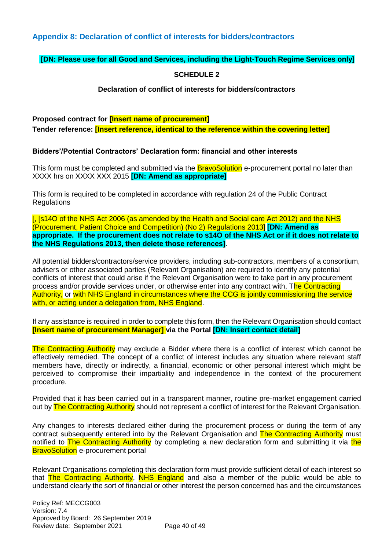## **Appendix 8: Declaration of conflict of interests for bidders/contractors**

#### **[DN: Please use for all Good and Services, including the Light-Touch Regime Services only]**

#### **SCHEDULE 2**

#### **Declaration of conflict of interests for bidders/contractors**

#### **Proposed contract for [Insert name of procurement]**

**Tender reference: [Insert reference, identical to the reference within the covering letter]**

#### **Bidders'/Potential Contractors' Declaration form: financial and other interests**

This form must be completed and submitted via the **BravoSolution** e-procurement portal no later than XXXX hrs on XXXX XXX 2015 **[DN: Amend as appropriate]**

This form is required to be completed in accordance with regulation 24 of the Public Contract **Regulations** 

[, [s14O of the NHS Act 2006 (as amended by the Health and Social care Act 2012) and the NHS (Procurement, Patient Choice and Competition) (No 2) Regulations 2013] **[DN: Amend as appropriate. If the procurement does not relate to s14O of the NHS Act or if it does not relate to the NHS Regulations 2013, then delete those references]**.

All potential bidders/contractors/service providers, including sub-contractors, members of a consortium, advisers or other associated parties (Relevant Organisation) are required to identify any potential conflicts of interest that could arise if the Relevant Organisation were to take part in any procurement process and/or provide services under, or otherwise enter into any contract with. The Contracting Authority, or with NHS England in circumstances where the CCG is jointly commissioning the service with, or acting under a delegation from, NHS England.

If any assistance is required in order to complete this form, then the Relevant Organisation should contact **[Insert name of procurement Manager] via the Portal [DN: Insert contact detail]**

The Contracting Authority may exclude a Bidder where there is a conflict of interest which cannot be effectively remedied. The concept of a conflict of interest includes any situation where relevant staff members have, directly or indirectly, a financial, economic or other personal interest which might be perceived to compromise their impartiality and independence in the context of the procurement procedure.

Provided that it has been carried out in a transparent manner, routine pre-market engagement carried out by The Contracting Authority should not represent a conflict of interest for the Relevant Organisation.

Any changes to interests declared either during the procurement process or during the term of any contract subsequently entered into by the Relevant Organisation and The Contracting Authority must notified to The Contracting Authority by completing a new declaration form and submitting it via the **BravoSolution** e-procurement portal

Relevant Organisations completing this declaration form must provide sufficient detail of each interest so that The Contracting Authority, NHS England and also a member of the public would be able to understand clearly the sort of financial or other interest the person concerned has and the circumstances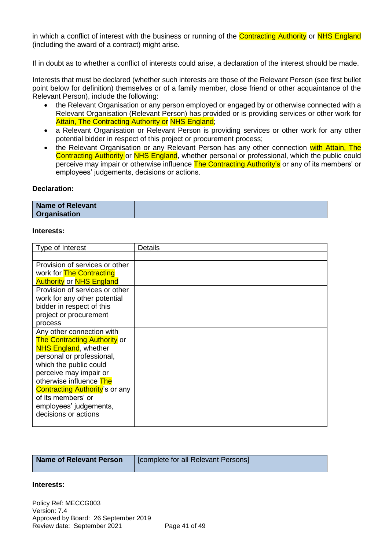in which a conflict of interest with the business or running of the Contracting Authority or NHS England (including the award of a contract) might arise.

If in doubt as to whether a conflict of interests could arise, a declaration of the interest should be made.

Interests that must be declared (whether such interests are those of the Relevant Person (see first bullet point below for definition) themselves or of a family member, close friend or other acquaintance of the Relevant Person), include the following:

- the Relevant Organisation or any person employed or engaged by or otherwise connected with a Relevant Organisation (Relevant Person) has provided or is providing services or other work for Attain, The Contracting Authority or NHS England;
- a Relevant Organisation or Relevant Person is providing services or other work for any other potential bidder in respect of this project or procurement process;
- the Relevant Organisation or any Relevant Person has any other connection with Attain, The Contracting Authority or NHS England, whether personal or professional, which the public could perceive may impair or otherwise influence The Contracting Authority's or any of its members' or employees' judgements, decisions or actions.

#### **Declaration:**

| Name of Relevant    |  |
|---------------------|--|
| <b>Organisation</b> |  |

#### **Interests:**

| Type of Interest                      | Details |
|---------------------------------------|---------|
|                                       |         |
| Provision of services or other        |         |
| work for <b>The Contracting</b>       |         |
| <b>Authority or NHS England</b>       |         |
| Provision of services or other        |         |
| work for any other potential          |         |
| bidder in respect of this             |         |
| project or procurement                |         |
| process                               |         |
| Any other connection with             |         |
| <b>The Contracting Authority or</b>   |         |
| <b>NHS England, whether</b>           |         |
| personal or professional,             |         |
| which the public could                |         |
| perceive may impair or                |         |
| otherwise influence The               |         |
| <b>Contracting Authority's or any</b> |         |
| of its members' or                    |         |
| employees' judgements,                |         |
| decisions or actions                  |         |
|                                       |         |

#### **Interests:**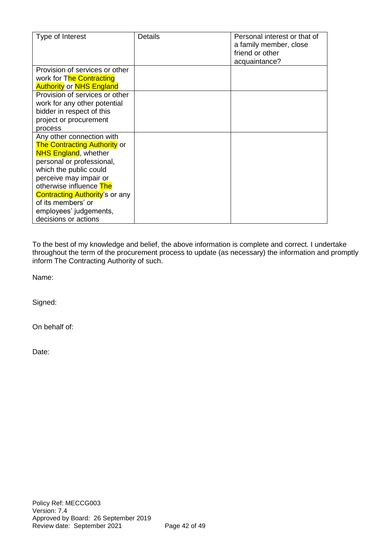| Type of Interest                      | <b>Details</b> | Personal interest or that of |
|---------------------------------------|----------------|------------------------------|
|                                       |                | a family member, close       |
|                                       |                | friend or other              |
|                                       |                | acquaintance?                |
| Provision of services or other        |                |                              |
| work for The Contracting              |                |                              |
| <b>Authority or NHS England</b>       |                |                              |
| Provision of services or other        |                |                              |
| work for any other potential          |                |                              |
| bidder in respect of this             |                |                              |
| project or procurement                |                |                              |
| process                               |                |                              |
| Any other connection with             |                |                              |
| <b>The Contracting Authority or</b>   |                |                              |
| <b>NHS England, whether</b>           |                |                              |
| personal or professional,             |                |                              |
| which the public could                |                |                              |
| perceive may impair or                |                |                              |
| otherwise influence The               |                |                              |
| <b>Contracting Authority's or any</b> |                |                              |
| of its members' or                    |                |                              |
| employees' judgements,                |                |                              |
| decisions or actions                  |                |                              |

To the best of my knowledge and belief, the above information is complete and correct. I undertake throughout the term of the procurement process to update (as necessary) the information and promptly inform The Contracting Authority of such.

Name:

Signed:

On behalf of:

Date: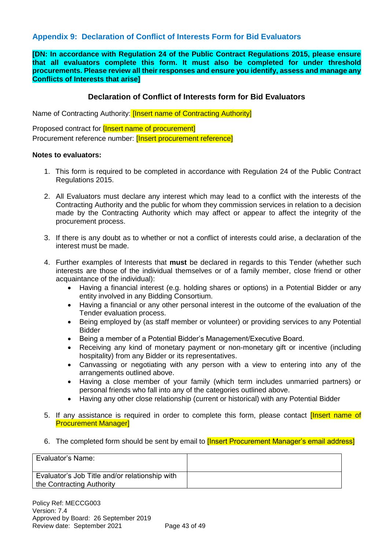## **Appendix 9: Declaration of Conflict of Interests Form for Bid Evaluators**

**[DN: In accordance with Regulation 24 of the Public Contract Regulations 2015, please ensure that all evaluators complete this form. It must also be completed for under threshold procurements. Please review all their responses and ensure you identify, assess and manage any Conflicts of Interests that arise]**

## **Declaration of Conflict of Interests form for Bid Evaluators**

Name of Contracting Authority: *[Insert name of Contracting Authority]* 

Proposed contract for **[Insert name of procurement]** Procurement reference number: [Insert procurement reference]

#### **Notes to evaluators:**

- 1. This form is required to be completed in accordance with Regulation 24 of the Public Contract Regulations 2015.
- 2. All Evaluators must declare any interest which may lead to a conflict with the interests of the Contracting Authority and the public for whom they commission services in relation to a decision made by the Contracting Authority which may affect or appear to affect the integrity of the procurement process.
- 3. If there is any doubt as to whether or not a conflict of interests could arise, a declaration of the interest must be made.
- 4. Further examples of Interests that **must** be declared in regards to this Tender (whether such interests are those of the individual themselves or of a family member, close friend or other acquaintance of the individual):
	- Having a financial interest (e.g. holding shares or options) in a Potential Bidder or any entity involved in any Bidding Consortium.
	- Having a financial or any other personal interest in the outcome of the evaluation of the Tender evaluation process.
	- Being employed by (as staff member or volunteer) or providing services to any Potential Bidder
	- Being a member of a Potential Bidder's Management/Executive Board.
	- Receiving any kind of monetary payment or non-monetary gift or incentive (including hospitality) from any Bidder or its representatives.
	- Canvassing or negotiating with any person with a view to entering into any of the arrangements outlined above.
	- Having a close member of your family (which term includes unmarried partners) or personal friends who fall into any of the categories outlined above.
	- Having any other close relationship (current or historical) with any Potential Bidder
- 5. If any assistance is required in order to complete this form, please contact *[Insert name of* Procurement Manager]
- 6. The completed form should be sent by email to **[Insert Procurement Manager's email address]**

| Evaluator's Name:                                                           |  |
|-----------------------------------------------------------------------------|--|
| Evaluator's Job Title and/or relationship with<br>the Contracting Authority |  |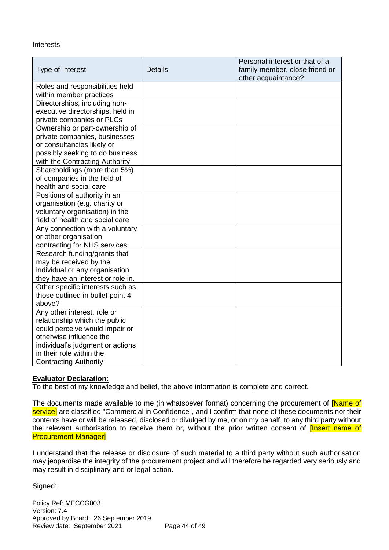#### **Interests**

| Type of Interest                  | <b>Details</b> | Personal interest or that of a<br>family member, close friend or<br>other acquaintance? |
|-----------------------------------|----------------|-----------------------------------------------------------------------------------------|
| Roles and responsibilities held   |                |                                                                                         |
| within member practices           |                |                                                                                         |
| Directorships, including non-     |                |                                                                                         |
| executive directorships, held in  |                |                                                                                         |
| private companies or PLCs         |                |                                                                                         |
| Ownership or part-ownership of    |                |                                                                                         |
| private companies, businesses     |                |                                                                                         |
| or consultancies likely or        |                |                                                                                         |
| possibly seeking to do business   |                |                                                                                         |
| with the Contracting Authority    |                |                                                                                         |
| Shareholdings (more than 5%)      |                |                                                                                         |
| of companies in the field of      |                |                                                                                         |
| health and social care            |                |                                                                                         |
| Positions of authority in an      |                |                                                                                         |
| organisation (e.g. charity or     |                |                                                                                         |
| voluntary organisation) in the    |                |                                                                                         |
| field of health and social care   |                |                                                                                         |
| Any connection with a voluntary   |                |                                                                                         |
| or other organisation             |                |                                                                                         |
| contracting for NHS services      |                |                                                                                         |
| Research funding/grants that      |                |                                                                                         |
| may be received by the            |                |                                                                                         |
| individual or any organisation    |                |                                                                                         |
| they have an interest or role in. |                |                                                                                         |
| Other specific interests such as  |                |                                                                                         |
| those outlined in bullet point 4  |                |                                                                                         |
| above?                            |                |                                                                                         |
| Any other interest, role or       |                |                                                                                         |
| relationship which the public     |                |                                                                                         |
| could perceive would impair or    |                |                                                                                         |
| otherwise influence the           |                |                                                                                         |
| individual's judgment or actions  |                |                                                                                         |
| in their role within the          |                |                                                                                         |
| <b>Contracting Authority</b>      |                |                                                                                         |

#### **Evaluator Declaration:**

To the best of my knowledge and belief, the above information is complete and correct.

The documents made available to me (in whatsoever format) concerning the procurement of **[Name of** service] are classified "Commercial in Confidence", and I confirm that none of these documents nor their contents have or will be released, disclosed or divulged by me, or on my behalf, to any third party without the relevant authorisation to receive them or, without the prior written consent of **[Insert name of** Procurement Manager]

I understand that the release or disclosure of such material to a third party without such authorisation may jeopardise the integrity of the procurement project and will therefore be regarded very seriously and may result in disciplinary and or legal action.

Signed: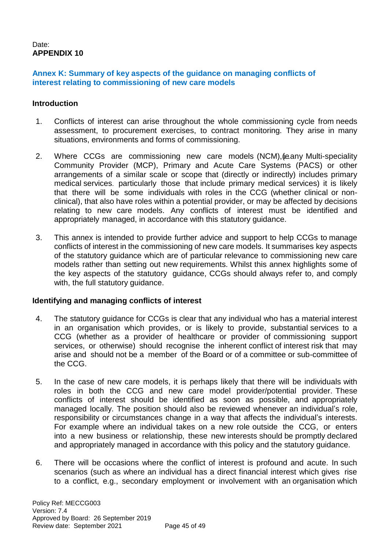### Date: **APPENDIX 10**

## **Annex K: Summary of key aspects of the guidance on managing conflicts of interest relating to commissioning of new care models**

#### **Introduction**

- 1. Conflicts of interest can arise throughout the whole commissioning cycle from needs assessment, to procurement exercises, to contract monitoring. They arise in many situations, environments and forms of commissioning.
- 2. Where CCGs are commissioning new care models (NCM), (ieany Multi-speciality Community Provider (MCP), Primary and Acute Care Systems (PACS) or other arrangements of a similar scale or scope that (directly or indirectly) includes primary medical services. particularly those that include primary medical services) it is likely that there will be some individuals with roles in the CCG (whether clinical or nonclinical), that also have roles within a potential provider, or may be affected by decisions relating to new care models. Any conflicts of interest must be identified and appropriately managed, in accordance with this statutory guidance.
- 3. This annex is intended to provide further advice and support to help CCGs to manage conflicts of interest in the commissioning of new care models. It summarises key aspects of the statutory guidance which are of particular relevance to commissioning new care models rather than setting out new requirements. Whilst this annex highlights some of the key aspects of the statutory guidance, CCGs should always refer to, and comply with, the full statutory guidance.

#### **Identifying and managing conflicts of interest**

- 4. The statutory guidance for CCGs is clear that any individual who has a material interest in an organisation which provides, or is likely to provide, substantial services to a CCG (whether as a provider of healthcare or provider of commissioning support services, or otherwise) should recognise the inherent conflict of interest risk that may arise and should not be a member of the Board or of a committee or sub-committee of the CCG.
- 5. In the case of new care models, it is perhaps likely that there will be individuals with roles in both the CCG and new care model provider/potential provider. These conflicts of interest should be identified as soon as possible, and appropriately managed locally. The position should also be reviewed whenever an individual's role, responsibility or circumstances change in a way that affects the individual's interests. For example where an individual takes on a new role outside the CCG, or enters into a new business or relationship, these new interests should be promptly declared and appropriately managed in accordance with this policy and the statutory guidance.
- 6. There will be occasions where the conflict of interest is profound and acute. In such scenarios (such as where an individual has a direct financial interest which gives rise to a conflict, e.g., secondary employment or involvement with an organisation which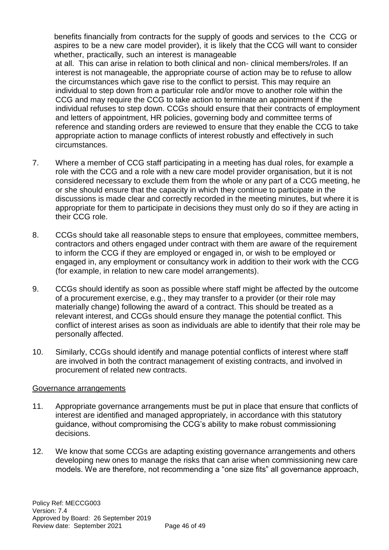benefits financially from contracts for the supply of goods and services to the CCG or aspires to be a new care model provider), it is likely that the CCG will want to consider whether, practically, such an interest is manageable

at all. This can arise in relation to both clinical and non- clinical members/roles. If an interest is not manageable, the appropriate course of action may be to refuse to allow the circumstances which gave rise to the conflict to persist. This may require an individual to step down from a particular role and/or move to another role within the CCG and may require the CCG to take action to terminate an appointment if the individual refuses to step down. CCGs should ensure that their contracts of employment and letters of appointment, HR policies, governing body and committee terms of reference and standing orders are reviewed to ensure that they enable the CCG to take appropriate action to manage conflicts of interest robustly and effectively in such circumstances.

- 7. Where a member of CCG staff participating in a meeting has dual roles, for example a role with the CCG and a role with a new care model provider organisation, but it is not considered necessary to exclude them from the whole or any part of a CCG meeting, he or she should ensure that the capacity in which they continue to participate in the discussions is made clear and correctly recorded in the meeting minutes, but where it is appropriate for them to participate in decisions they must only do so if they are acting in their CCG role.
- 8. CCGs should take all reasonable steps to ensure that employees, committee members, contractors and others engaged under contract with them are aware of the requirement to inform the CCG if they are employed or engaged in, or wish to be employed or engaged in, any employment or consultancy work in addition to their work with the CCG (for example, in relation to new care model arrangements).
- 9. CCGs should identify as soon as possible where staff might be affected by the outcome of a procurement exercise, e.g., they may transfer to a provider (or their role may materially change) following the award of a contract. This should be treated as a relevant interest, and CCGs should ensure they manage the potential conflict. This conflict of interest arises as soon as individuals are able to identify that their role may be personally affected.
- 10. Similarly, CCGs should identify and manage potential conflicts of interest where staff are involved in both the contract management of existing contracts, and involved in procurement of related new contracts.

## Governance arrangements

- 11. Appropriate governance arrangements must be put in place that ensure that conflicts of interest are identified and managed appropriately, in accordance with this statutory guidance, without compromising the CCG's ability to make robust commissioning decisions.
- 12. We know that some CCGs are adapting existing governance arrangements and others developing new ones to manage the risks that can arise when commissioning new care models. We are therefore, not recommending a "one size fits" all governance approach,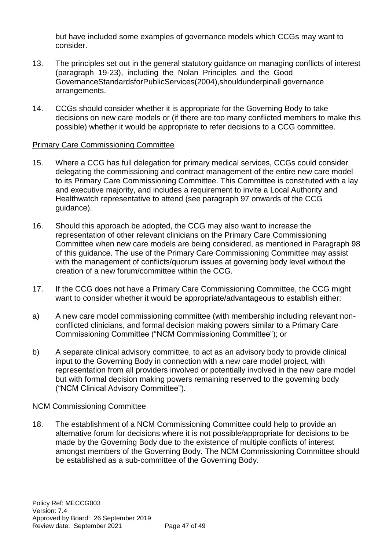but have included some examples of governance models which CCGs may want to consider.

- 13. The principles set out in the general statutory guidance on managing conflicts of interest (paragraph 19-23), including the Nolan Principles and the Good GovernanceStandardsforPublicServices(2004),shouldunderpinall governance arrangements.
- 14. CCGs should consider whether it is appropriate for the Governing Body to take decisions on new care models or (if there are too many conflicted members to make this possible) whether it would be appropriate to refer decisions to a CCG committee.

## Primary Care Commissioning Committee

- 15. Where a CCG has full delegation for primary medical services, CCGs could consider delegating the commissioning and contract management of the entire new care model to its Primary Care Commissioning Committee. This Committee is constituted with a lay and executive majority, and includes a requirement to invite a Local Authority and Healthwatch representative to attend (see paragraph 97 onwards of the CCG guidance).
- 16. Should this approach be adopted, the CCG may also want to increase the representation of other relevant clinicians on the Primary Care Commissioning Committee when new care models are being considered, as mentioned in Paragraph 98 of this guidance. The use of the Primary Care Commissioning Committee may assist with the management of conflicts/quorum issues at governing body level without the creation of a new forum/committee within the CCG.
- 17. If the CCG does not have a Primary Care Commissioning Committee, the CCG might want to consider whether it would be appropriate/advantageous to establish either:
- a) A new care model commissioning committee (with membership including relevant nonconflicted clinicians, and formal decision making powers similar to a Primary Care Commissioning Committee ("NCM Commissioning Committee"); or
- b) A separate clinical advisory committee, to act as an advisory body to provide clinical input to the Governing Body in connection with a new care model project, with representation from all providers involved or potentially involved in the new care model but with formal decision making powers remaining reserved to the governing body ("NCM Clinical Advisory Committee").

## NCM Commissioning Committee

18. The establishment of a NCM Commissioning Committee could help to provide an alternative forum for decisions where it is not possible/appropriate for decisions to be made by the Governing Body due to the existence of multiple conflicts of interest amongst members of the Governing Body. The NCM Commissioning Committee should be established as a sub-committee of the Governing Body.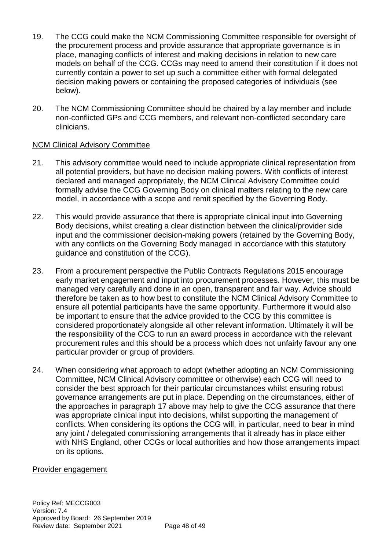- 19. The CCG could make the NCM Commissioning Committee responsible for oversight of the procurement process and provide assurance that appropriate governance is in place, managing conflicts of interest and making decisions in relation to new care models on behalf of the CCG. CCGs may need to amend their constitution if it does not currently contain a power to set up such a committee either with formal delegated decision making powers or containing the proposed categories of individuals (see below).
- 20. The NCM Commissioning Committee should be chaired by a lay member and include non-conflicted GPs and CCG members, and relevant non-conflicted secondary care clinicians.

## NCM Clinical Advisory Committee

- 21. This advisory committee would need to include appropriate clinical representation from all potential providers, but have no decision making powers. With conflicts of interest declared and managed appropriately, the NCM Clinical Advisory Committee could formally advise the CCG Governing Body on clinical matters relating to the new care model, in accordance with a scope and remit specified by the Governing Body.
- 22. This would provide assurance that there is appropriate clinical input into Governing Body decisions, whilst creating a clear distinction between the clinical/provider side input and the commissioner decision-making powers (retained by the Governing Body, with any conflicts on the Governing Body managed in accordance with this statutory guidance and constitution of the CCG).
- 23. From a procurement perspective the Public Contracts Regulations 2015 encourage early market engagement and input into procurement processes. However, this must be managed very carefully and done in an open, transparent and fair way. Advice should therefore be taken as to how best to constitute the NCM Clinical Advisory Committee to ensure all potential participants have the same opportunity. Furthermore it would also be important to ensure that the advice provided to the CCG by this committee is considered proportionately alongside all other relevant information. Ultimately it will be the responsibility of the CCG to run an award process in accordance with the relevant procurement rules and this should be a process which does not unfairly favour any one particular provider or group of providers.
- 24. When considering what approach to adopt (whether adopting an NCM Commissioning Committee, NCM Clinical Advisory committee or otherwise) each CCG will need to consider the best approach for their particular circumstances whilst ensuring robust governance arrangements are put in place. Depending on the circumstances, either of the approaches in paragraph 17 above may help to give the CCG assurance that there was appropriate clinical input into decisions, whilst supporting the management of conflicts. When considering its options the CCG will, in particular, need to bear in mind any joint / delegated commissioning arrangements that it already has in place either with NHS England, other CCGs or local authorities and how those arrangements impact on its options.

#### Provider engagement